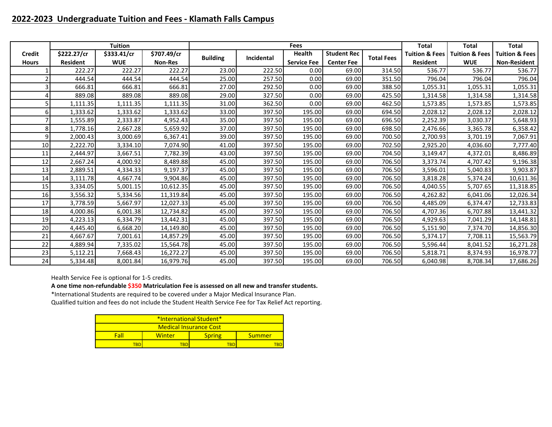## **2022-2023 Undergraduate Tuition and Fees - Klamath Falls Campus**

|                 |                 | <b>Tuition</b> |                |                 |            | Fees               |                    |                   | <b>Total</b>              | <b>Total</b>              | <b>Total</b>              |
|-----------------|-----------------|----------------|----------------|-----------------|------------|--------------------|--------------------|-------------------|---------------------------|---------------------------|---------------------------|
| <b>Credit</b>   | \$222.27/cr     | \$333.41/cr    | \$707.49/cr    |                 | Incidental | Health             | <b>Student Rec</b> | <b>Total Fees</b> | <b>Tuition &amp; Fees</b> | <b>Tuition &amp; Fees</b> | <b>Tuition &amp; Fees</b> |
| <b>Hours</b>    | <b>Resident</b> | <b>WUE</b>     | <b>Non-Res</b> | <b>Building</b> |            | <b>Service Fee</b> | <b>Center Fee</b>  |                   | <b>Resident</b>           | <b>WUE</b>                | <b>Non-Resident</b>       |
|                 | 222.27          | 222.27         | 222.27         | 23.00           | 222.50     | 0.00               | 69.00              | 314.50            | 536.77                    | 536.77                    | 536.77                    |
|                 | 444.54          | 444.54         | 444.54         | 25.00           | 257.50     | 0.00               | 69.00              | 351.50            | 796.04                    | 796.04                    | 796.04                    |
|                 | 666.81          | 666.81         | 666.81         | 27.00           | 292.50     | 0.00               | 69.00              | 388.50            | 1,055.31                  | 1,055.31                  | 1,055.31                  |
|                 | 889.08          | 889.08         | 889.08         | 29.00           | 327.50     | 0.00               | 69.00              | 425.50            | 1,314.58                  | 1,314.58                  | 1,314.58                  |
|                 | 1,111.35        | 1,111.35       | 1,111.35       | 31.00           | 362.50     | 0.00               | 69.00              | 462.50            | 1,573.85                  | 1,573.85                  | 1,573.85                  |
| 61              | 1,333.62        | 1,333.62       | 1,333.62       | 33.00           | 397.50     | 195.00             | 69.00              | 694.50            | 2,028.12                  | 2,028.12                  | 2,028.12                  |
|                 | 1,555.89        | 2,333.87       | 4,952.43       | 35.00           | 397.50     | 195.00             | 69.00              | 696.50            | 2,252.39                  | 3,030.37                  | 5,648.93                  |
| 8               | 1,778.16        | 2,667.28       | 5,659.92       | 37.00           | 397.50     | 195.00             | 69.00              | 698.50            | 2,476.66                  | 3,365.78                  | 6,358.42                  |
| 9               | 2,000.43        | 3,000.69       | 6,367.41       | 39.00           | 397.50     | 195.00             | 69.00              | 700.50            | 2,700.93                  | 3,701.19                  | 7,067.91                  |
| 10 <sup>1</sup> | 2,222.70        | 3,334.10       | 7,074.90       | 41.00           | 397.50     | 195.00             | 69.00              | 702.50            | 2,925.20                  | 4,036.60                  | 7,777.40                  |
| 11              | 2,444.97        | 3,667.51       | 7,782.39       | 43.00           | 397.50     | 195.00             | 69.00              | 704.50            | 3,149.47                  | 4,372.01                  | 8,486.89                  |
| 12              | 2,667.24        | 4,000.92       | 8,489.88       | 45.00           | 397.50     | 195.00             | 69.00              | 706.50            | 3,373.74                  | 4,707.42                  | 9,196.38                  |
| 13              | 2,889.51        | 4,334.33       | 9,197.37       | 45.00           | 397.50     | 195.00             | 69.00              | 706.50            | 3,596.01                  | 5,040.83                  | 9,903.87                  |
| 14              | 3,111.78        | 4,667.74       | 9,904.86       | 45.00           | 397.50     | 195.00             | 69.00              | 706.50            | 3,818.28                  | 5,374.24                  | 10,611.36                 |
| 15              | 3,334.05        | 5,001.15       | 10,612.35      | 45.00           | 397.50     | 195.00             | 69.00              | 706.50            | 4,040.55                  | 5,707.65                  | 11,318.85                 |
| 16              | 3,556.32        | 5,334.56       | 11,319.84      | 45.00           | 397.50     | 195.00             | 69.00              | 706.50            | 4,262.82                  | 6,041.06                  | 12,026.34                 |
| 17              | 3,778.59        | 5,667.97       | 12,027.33      | 45.00           | 397.50     | 195.00             | 69.00              | 706.50            | 4,485.09                  | 6,374.47                  | 12,733.83                 |
| 18              | 4,000.86        | 6,001.38       | 12,734.82      | 45.00           | 397.50     | 195.00             | 69.00              | 706.50            | 4,707.36                  | 6,707.88                  | 13,441.32                 |
| 19              | 4,223.13        | 6,334.79       | 13,442.31      | 45.00           | 397.50     | 195.00             | 69.00              | 706.50            | 4,929.63                  | 7,041.29                  | 14,148.81                 |
| 20              | 4,445.40        | 6,668.20       | 14,149.80      | 45.00           | 397.50     | 195.00             | 69.00              | 706.50            | 5,151.90                  | 7,374.70                  | 14,856.30                 |
| 21              | 4,667.67        | 7,001.61       | 14,857.29      | 45.00           | 397.50     | 195.00             | 69.00              | 706.50            | 5,374.17                  | 7,708.11                  | 15,563.79                 |
| 22              | 4,889.94        | 7,335.02       | 15,564.78      | 45.00           | 397.50     | 195.00             | 69.00              | 706.50            | 5,596.44                  | 8,041.52                  | 16,271.28                 |
| 23              | 5,112.21        | 7,668.43       | 16,272.27      | 45.00           | 397.50     | 195.00             | 69.00              | 706.50            | 5,818.71                  | 8,374.93                  | 16,978.77                 |
| 24              | 5,334.48        | 8,001.84       | 16,979.76      | 45.00           | 397.50     | 195.00             | 69.00              | 706.50            | 6,040.98                  | 8,708.34                  | 17,686.26                 |

Health Service Fee is optional for 1-5 credits.

**A one time non-refundable \$350 Matriculation Fee is assessed on all new and transfer students.**

\*International Students are required to be covered under a Major Medical Insurance Plan.

| *International Student* |                        |               |        |  |  |  |  |  |  |  |
|-------------------------|------------------------|---------------|--------|--|--|--|--|--|--|--|
|                         | Medical Insurance Cost |               |        |  |  |  |  |  |  |  |
| Fall                    | Winter                 | <b>Spring</b> | Summer |  |  |  |  |  |  |  |
| TRE                     |                        |               |        |  |  |  |  |  |  |  |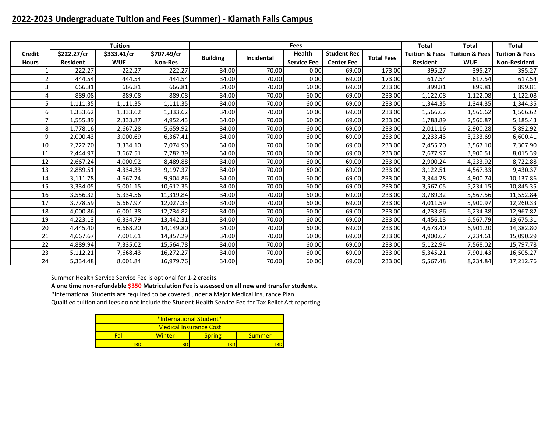## **2022-2023 Undergraduate Tuition and Fees (Summer) - Klamath Falls Campus**

|               |                 | <b>Tuition</b> |                |                 |            | Fees               |                    |                   | <b>Total</b>              | Total                     | <b>Total</b>              |
|---------------|-----------------|----------------|----------------|-----------------|------------|--------------------|--------------------|-------------------|---------------------------|---------------------------|---------------------------|
| <b>Credit</b> | \$222.27/cr     | \$333.41/cr    | \$707.49/cr    | <b>Building</b> | Incidental | <b>Health</b>      | <b>Student Rec</b> | <b>Total Fees</b> | <b>Tuition &amp; Fees</b> | <b>Tuition &amp; Fees</b> | <b>Tuition &amp; Fees</b> |
| <b>Hours</b>  | <b>Resident</b> | <b>WUE</b>     | <b>Non-Res</b> |                 |            | <b>Service Fee</b> | <b>Center Fee</b>  |                   | <b>Resident</b>           | <b>WUE</b>                | <b>Non-Resident</b>       |
|               | 222.27          | 222.27         | 222.27         | 34.00           | 70.00      | 0.00               | 69.00              | 173.00            | 395.27                    | 395.27                    | 395.27                    |
|               | 444.54          | 444.54         | 444.54         | 34.00           | 70.00      | 0.00               | 69.00              | 173.00            | 617.54                    | 617.54                    | 617.54                    |
|               | 666.81          | 666.81         | 666.81         | 34.00           | 70.00      | 60.00              | 69.00              | 233.00            | 899.81                    | 899.81                    | 899.81                    |
|               | 889.08          | 889.08         | 889.08         | 34.00           | 70.00      | 60.00              | 69.00              | 233.00            | 1,122.08                  | 1,122.08                  | 1,122.08                  |
|               | 1,111.35        | 1,111.35       | 1,111.35       | 34.00           | 70.00      | 60.00              | 69.00              | 233.00            | 1,344.35                  | 1,344.35                  | 1,344.35                  |
|               | 1,333.62        | 1,333.62       | 1,333.62       | 34.00           | 70.00      | 60.00              | 69.00              | 233.00            | 1,566.62                  | 1,566.62                  | 1,566.62                  |
|               | 1,555.89        | 2,333.87       | 4,952.43       | 34.00           | 70.00      | 60.00              | 69.00              | 233.00            | 1,788.89                  | 2,566.87                  | 5,185.43                  |
| 8             | 1,778.16        | 2,667.28       | 5,659.92       | 34.00           | 70.00      | 60.00              | 69.00              | 233.00            | 2,011.16                  | 2,900.28                  | 5,892.92                  |
| 9             | 2,000.43        | 3,000.69       | 6,367.41       | 34.00           | 70.00      | 60.00              | 69.00              | 233.00            | 2,233.43                  | 3,233.69                  | 6,600.41                  |
| 10            | 2,222.70        | 3,334.10       | 7,074.90       | 34.00           | 70.00      | 60.00              | 69.00              | 233.00            | 2,455.70                  | 3,567.10                  | 7,307.90                  |
| 11            | 2,444.97        | 3,667.51       | 7,782.39       | 34.00           | 70.00      | 60.00              | 69.00              | 233.00            | 2,677.97                  | 3,900.51                  | 8,015.39                  |
| 12            | 2,667.24        | 4,000.92       | 8,489.88       | 34.00           | 70.00      | 60.00              | 69.00              | 233.00            | 2,900.24                  | 4,233.92                  | 8,722.88                  |
| 13            | 2,889.51        | 4,334.33       | 9,197.37       | 34.00           | 70.00      | 60.00              | 69.00              | 233.00            | 3,122.51                  | 4,567.33                  | 9,430.37                  |
| 14            | 3,111.78        | 4,667.74       | 9,904.86       | 34.00           | 70.00      | 60.00              | 69.00              | 233.00            | 3,344.78                  | 4,900.74                  | 10,137.86                 |
| 15            | 3,334.05        | 5,001.15       | 10,612.35      | 34.00           | 70.00      | 60.00              | 69.00              | 233.00            | 3,567.05                  | 5,234.15                  | 10,845.35                 |
| 16            | 3,556.32        | 5,334.56       | 11,319.84      | 34.00           | 70.00      | 60.00              | 69.00              | 233.00            | 3,789.32                  | 5,567.56                  | 11,552.84                 |
| 17            | 3,778.59        | 5,667.97       | 12,027.33      | 34.00           | 70.00      | 60.00              | 69.00              | 233.00            | 4,011.59                  | 5,900.97                  | 12,260.33                 |
| 18            | 4,000.86        | 6,001.38       | 12,734.82      | 34.00           | 70.00      | 60.00              | 69.00              | 233.00            | 4,233.86                  | 6,234.38                  | 12,967.82                 |
| 19            | 4,223.13        | 6,334.79       | 13,442.31      | 34.00           | 70.00      | 60.00              | 69.00              | 233.00            | 4,456.13                  | 6,567.79                  | 13,675.31                 |
| 20            | 4,445.40        | 6,668.20       | 14,149.80      | 34.00           | 70.00      | 60.00              | 69.00              | 233.00            | 4,678.40                  | 6,901.20                  | 14,382.80                 |
| 21            | 4,667.67        | 7,001.61       | 14,857.29      | 34.00           | 70.00      | 60.00              | 69.00              | 233.00            | 4,900.67                  | 7,234.61                  | 15,090.29                 |
| 22            | 4,889.94        | 7,335.02       | 15,564.78      | 34.00           | 70.00      | 60.00              | 69.00              | 233.00            | 5,122.94                  | 7,568.02                  | 15,797.78                 |
| 23            | 5,112.21        | 7,668.43       | 16,272.27      | 34.00           | 70.00      | 60.00              | 69.00              | 233.00            | 5,345.21                  | 7,901.43                  | 16,505.27                 |
| 24            | 5,334.48        | 8,001.84       | 16,979.76      | 34.00           | 70.00      | 60.00              | 69.00              | 233.00            | 5,567.48                  | 8,234.84                  | 17,212.76                 |

Summer Health Service Service Fee is optional for 1-2 credits.

**A one time non-refundable \$350 Matriculation Fee is assessed on all new and transfer students.**

\*International Students are required to be covered under a Major Medical Insurance Plan.

| <b>*International Student*</b> |        |               |        |  |  |  |  |  |  |
|--------------------------------|--------|---------------|--------|--|--|--|--|--|--|
| <b>Medical Insurance Cost</b>  |        |               |        |  |  |  |  |  |  |
| Fall                           | Winter | <b>Spring</b> | Summer |  |  |  |  |  |  |
| ΈRΓ                            | 'RD    |               |        |  |  |  |  |  |  |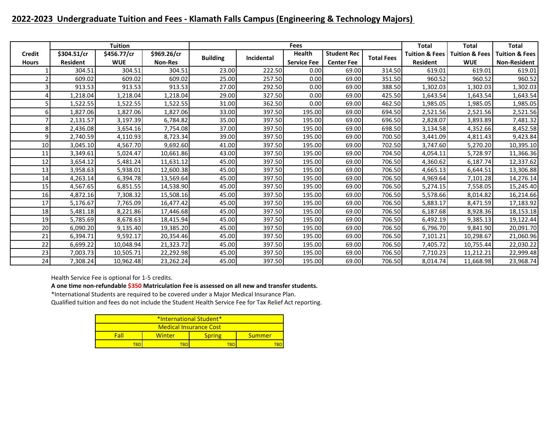## **2022-2023 Undergraduate Tuition and Fees - Klamath Falls Campus (Engineering & Technology Majors)**

|               |                 | <b>Tuition</b> |                |                 |            | Fees               |                    |                   | <b>Total</b>              | <b>Total</b>              | <b>Total</b>              |
|---------------|-----------------|----------------|----------------|-----------------|------------|--------------------|--------------------|-------------------|---------------------------|---------------------------|---------------------------|
| <b>Credit</b> | \$304.51/cr     | \$456.77/cr    | \$969.26/cr    | <b>Building</b> | Incidental | Health             | <b>Student Rec</b> | <b>Total Fees</b> | <b>Tuition &amp; Fees</b> | <b>Tuition &amp; Fees</b> | <b>Tuition &amp; Fees</b> |
| <b>Hours</b>  | <b>Resident</b> | <b>WUE</b>     | <b>Non-Res</b> |                 |            | <b>Service Fee</b> | <b>Center Fee</b>  |                   | <b>Resident</b>           | <b>WUE</b>                | <b>Non-Resident</b>       |
|               | 304.51          | 304.51         | 304.51         | 23.00           | 222.50     | 0.00               | 69.00              | 314.50            | 619.01                    | 619.01                    | 619.01                    |
|               | 609.02          | 609.02         | 609.02         | 25.00           | 257.50     | 0.00               | 69.00              | 351.50            | 960.52                    | 960.52                    | 960.52                    |
|               | 913.53          | 913.53         | 913.53         | 27.00           | 292.50     | 0.00               | 69.00              | 388.50            | 1,302.03                  | 1,302.03                  | 1,302.03                  |
|               | 1,218.04        | 1,218.04       | 1,218.04       | 29.00           | 327.50     | 0.00               | 69.00              | 425.50            | 1,643.54                  | 1,643.54                  | 1,643.54                  |
|               | 1,522.55        | 1,522.55       | 1,522.55       | 31.00           | 362.50     | 0.00               | 69.00              | 462.50            | 1,985.05                  | 1,985.05                  | 1,985.05                  |
|               | 1,827.06        | 1,827.06       | 1,827.06       | 33.00           | 397.50     | 195.00             | 69.00              | 694.50            | 2,521.56                  | 2,521.56                  | 2,521.56                  |
|               | 2,131.57        | 3,197.39       | 6,784.82       | 35.00           | 397.50     | 195.00             | 69.00              | 696.50            | 2,828.07                  | 3,893.89                  | 7,481.32                  |
|               | 2,436.08        | 3,654.16       | 7,754.08       | 37.00           | 397.50     | 195.00             | 69.00              | 698.50            | 3,134.58                  | 4,352.66                  | 8,452.58                  |
|               | 2,740.59        | 4,110.93       | 8,723.34       | 39.00           | 397.50     | 195.00             | 69.00              | 700.50            | 3,441.09                  | 4,811.43                  | 9,423.84                  |
| 10            | 3,045.10        | 4,567.70       | 9,692.60       | 41.00           | 397.50     | 195.00             | 69.00              | 702.50            | 3,747.60                  | 5,270.20                  | 10,395.10                 |
| 11            | 3,349.61        | 5,024.47       | 10,661.86      | 43.00           | 397.50     | 195.00             | 69.00              | 704.50            | 4,054.11                  | 5,728.97                  | 11,366.36                 |
| 12            | 3,654.12        | 5,481.24       | 11,631.12      | 45.00           | 397.50     | 195.00             | 69.00              | 706.50            | 4,360.62                  | 6,187.74                  | 12,337.62                 |
| 13            | 3,958.63        | 5,938.01       | 12,600.38      | 45.00           | 397.50     | 195.00             | 69.00              | 706.50            | 4,665.13                  | 6,644.51                  | 13,306.88                 |
| 14            | 4,263.14        | 6,394.78       | 13,569.64      | 45.00           | 397.50     | 195.00             | 69.00              | 706.50            | 4,969.64                  | 7,101.28                  | 14,276.14                 |
| 15            | 4,567.65        | 6,851.55       | 14,538.90      | 45.00           | 397.50     | 195.00             | 69.00              | 706.50            | 5,274.15                  | 7,558.05                  | 15,245.40                 |
| 16            | 4,872.16        | 7,308.32       | 15,508.16      | 45.00           | 397.50     | 195.00             | 69.00              | 706.50            | 5,578.66                  | 8,014.82                  | 16,214.66                 |
| 17            | 5,176.67        | 7,765.09       | 16,477.42      | 45.00           | 397.50     | 195.00             | 69.00              | 706.50            | 5,883.17                  | 8,471.59                  | 17,183.92                 |
| 18            | 5,481.18        | 8,221.86       | 17,446.68      | 45.00           | 397.50     | 195.00             | 69.00              | 706.50            | 6,187.68                  | 8,928.36                  | 18,153.18                 |
| 19            | 5,785.69        | 8,678.63       | 18,415.94      | 45.00           | 397.50     | 195.00             | 69.00              | 706.50            | 6,492.19                  | 9,385.13                  | 19,122.44                 |
| 20            | 6,090.20        | 9,135.40       | 19,385.20      | 45.00           | 397.50     | 195.00             | 69.00              | 706.50            | 6,796.70                  | 9,841.90                  | 20,091.70                 |
| 21            | 6,394.71        | 9,592.17       | 20,354.46      | 45.00           | 397.50     | 195.00             | 69.00              | 706.50            | 7,101.21                  | 10,298.67                 | 21,060.96                 |
| 22            | 6,699.22        | 10,048.94      | 21,323.72      | 45.00           | 397.50     | 195.00             | 69.00              | 706.50            | 7,405.72                  | 10,755.44                 | 22,030.22                 |
| 23            | 7,003.73        | 10,505.71      | 22,292.98      | 45.00           | 397.50     | 195.00             | 69.00              | 706.50            | 7,710.23                  | 11,212.21                 | 22,999.48                 |
| 24            | 7,308.24        | 10,962.48      | 23,262.24      | 45.00           | 397.50     | 195.00             | 69.00              | 706.50            | 8,014.74                  | 11,668.98                 | 23,968.74                 |

Health Service Fee is optional for 1-5 credits.

**A one time non-refundable \$350 Matriculation Fee is assessed on all new and transfer students.**

\*International Students are required to be covered under a Major Medical Insurance Plan.

| <b>*International Student*</b> |                               |        |  |  |  |  |  |  |  |  |
|--------------------------------|-------------------------------|--------|--|--|--|--|--|--|--|--|
|                                | <b>Medical Insurance Cost</b> |        |  |  |  |  |  |  |  |  |
| Fall                           | <b>Spring</b>                 | Summer |  |  |  |  |  |  |  |  |
| 'BE                            |                               |        |  |  |  |  |  |  |  |  |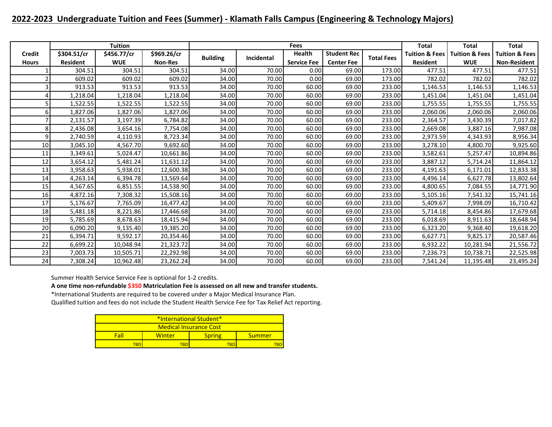### **2022-2023 Undergraduate Tuition and Fees (Summer) - Klamath Falls Campus (Engineering & Technology Majors)**

|               |                 | <b>Tuition</b> |                |                 |            | Fees               |                    |                   | <b>Total</b>              | <b>Total</b>              | <b>Total</b>              |
|---------------|-----------------|----------------|----------------|-----------------|------------|--------------------|--------------------|-------------------|---------------------------|---------------------------|---------------------------|
| <b>Credit</b> | \$304.51/cr     | \$456.77/cr    | \$969.26/cr    |                 | Incidental | Health             | <b>Student Rec</b> | <b>Total Fees</b> | <b>Tuition &amp; Fees</b> | <b>Tuition &amp; Fees</b> | <b>Tuition &amp; Fees</b> |
| <b>Hours</b>  | <b>Resident</b> | <b>WUE</b>     | <b>Non-Res</b> | <b>Building</b> |            | <b>Service Fee</b> | <b>Center Fee</b>  |                   | <b>Resident</b>           | <b>WUE</b>                | <b>Non-Resident</b>       |
|               | 304.51          | 304.51         | 304.51         | 34.00           | 70.00      | 0.00               | 69.00              | 173.00            | 477.51                    | 477.51                    | 477.51                    |
|               | 609.02          | 609.02         | 609.02         | 34.00           | 70.00      | 0.00               | 69.00              | 173.00            | 782.02                    | 782.02                    | 782.02                    |
|               | 913.53          | 913.53         | 913.53         | 34.00           | 70.00      | 60.00              | 69.00              | 233.00            | 1,146.53                  | 1,146.53                  | 1,146.53                  |
|               | 1,218.04        | 1,218.04       | 1,218.04       | 34.00           | 70.00      | 60.00              | 69.00              | 233.00            | 1,451.04                  | 1,451.04                  | 1,451.04                  |
|               | 1,522.55        | 1,522.55       | 1,522.55       | 34.00           | 70.00      | 60.00              | 69.00              | 233.00            | 1,755.55                  | 1,755.55                  | 1,755.55                  |
|               | 1,827.06        | 1,827.06       | 1,827.06       | 34.00           | 70.00      | 60.00              | 69.00              | 233.00            | 2,060.06                  | 2,060.06                  | 2,060.06                  |
|               | 2,131.57        | 3,197.39       | 6,784.82       | 34.00           | 70.00      | 60.00              | 69.00              | 233.00            | 2,364.57                  | 3,430.39                  | 7,017.82                  |
|               | 2,436.08        | 3,654.16       | 7,754.08       | 34.00           | 70.00      | 60.00              | 69.00              | 233.00            | 2,669.08                  | 3,887.16                  | 7,987.08                  |
|               | 2,740.59        | 4,110.93       | 8,723.34       | 34.00           | 70.00      | 60.00              | 69.00              | 233.00            | 2,973.59                  | 4,343.93                  | 8,956.34                  |
| 10            | 3,045.10        | 4,567.70       | 9,692.60       | 34.00           | 70.00      | 60.00              | 69.00              | 233.00            | 3,278.10                  | 4,800.70                  | 9,925.60                  |
| 11            | 3,349.61        | 5,024.47       | 10,661.86      | 34.00           | 70.00      | 60.00              | 69.00              | 233.00            | 3,582.61                  | 5,257.47                  | 10,894.86                 |
| 12            | 3,654.12        | 5,481.24       | 11,631.12      | 34.00           | 70.00      | 60.00              | 69.00              | 233.00            | 3,887.12                  | 5,714.24                  | 11,864.12                 |
| 13            | 3,958.63        | 5,938.01       | 12,600.38      | 34.00           | 70.00      | 60.00              | 69.00              | 233.00            | 4,191.63                  | 6,171.01                  | 12,833.38                 |
| 14            | 4,263.14        | 6,394.78       | 13,569.64      | 34.00           | 70.00      | 60.00              | 69.00              | 233.00            | 4,496.14                  | 6,627.78                  | 13,802.64                 |
| 15            | 4,567.65        | 6,851.55       | 14,538.90      | 34.00           | 70.00      | 60.00              | 69.00              | 233.00            | 4,800.65                  | 7,084.55                  | 14,771.90                 |
| 16            | 4,872.16        | 7,308.32       | 15,508.16      | 34.00           | 70.00      | 60.00              | 69.00              | 233.00            | 5,105.16                  | 7,541.32                  | 15,741.16                 |
| 17            | 5,176.67        | 7,765.09       | 16,477.42      | 34.00           | 70.00      | 60.00              | 69.00              | 233.00            | 5,409.67                  | 7,998.09                  | 16,710.42                 |
| 18            | 5,481.18        | 8,221.86       | 17,446.68      | 34.00           | 70.00      | 60.00              | 69.00              | 233.00            | 5,714.18                  | 8,454.86                  | 17,679.68                 |
| 19            | 5,785.69        | 8,678.63       | 18,415.94      | 34.00           | 70.00      | 60.00              | 69.00              | 233.00            | 6,018.69                  | 8,911.63                  | 18,648.94                 |
| 20            | 6,090.20        | 9,135.40       | 19,385.20      | 34.00           | 70.00      | 60.00              | 69.00              | 233.00            | 6,323.20                  | 9,368.40                  | 19,618.20                 |
| 21            | 6,394.71        | 9,592.17       | 20,354.46      | 34.00           | 70.00      | 60.00              | 69.00              | 233.00            | 6,627.71                  | 9,825.17                  | 20,587.46                 |
| 22            | 6,699.22        | 10,048.94      | 21,323.72      | 34.00           | 70.00      | 60.00              | 69.00              | 233.00            | 6,932.22                  | 10,281.94                 | 21,556.72                 |
| 23            | 7,003.73        | 10,505.71      | 22,292.98      | 34.00           | 70.00      | 60.00              | 69.00              | 233.00            | 7,236.73                  | 10,738.71                 | 22,525.98                 |
| 24            | 7,308.24        | 10,962.48      | 23,262.24      | 34.00           | 70.00      | 60.00              | 69.00              | 233.00            | 7,541.24                  | 11,195.48                 | 23,495.24                 |

Summer Health Service Service Fee is optional for 1-2 credits.

**A one time non-refundable \$350 Matriculation Fee is assessed on all new and transfer students.**

\*International Students are required to be covered under a Major Medical Insurance Plan.

| *International Student* |                        |               |        |  |  |  |  |  |  |  |
|-------------------------|------------------------|---------------|--------|--|--|--|--|--|--|--|
|                         | Medical Insurance Cost |               |        |  |  |  |  |  |  |  |
| Fall                    | Winter                 | <b>Spring</b> | Summer |  |  |  |  |  |  |  |
| 'BI                     | ran                    |               |        |  |  |  |  |  |  |  |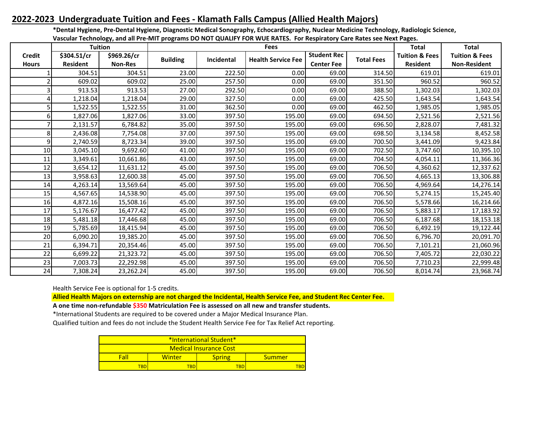## **2022-2023 Undergraduate Tuition and Fees - Klamath Falls Campus (Allied Health Majors)**

**\*Dental Hygiene, Pre-Dental Hygiene, Diagnostic Medical Sonography, Echocardiography, Nuclear Medicine Technology, Radiologic Science,** 

| Vascular Technology, and all Pre-MIT programs DO NOT QUALIFY FOR WUE RATES. For Respiratory Care Rates see Next Pages. |  |  |
|------------------------------------------------------------------------------------------------------------------------|--|--|
|                                                                                                                        |  |  |

|               |                 | <b>Tuition</b> |                 |                   | <b>Fees</b>               |                    |                   | <b>Total</b>              | <b>Total</b>              |
|---------------|-----------------|----------------|-----------------|-------------------|---------------------------|--------------------|-------------------|---------------------------|---------------------------|
| <b>Credit</b> | \$304.51/cr     | \$969.26/cr    | <b>Building</b> | <b>Incidental</b> | <b>Health Service Fee</b> | <b>Student Rec</b> | <b>Total Fees</b> | <b>Tuition &amp; Fees</b> | <b>Tuition &amp; Fees</b> |
| <b>Hours</b>  | <b>Resident</b> | <b>Non-Res</b> |                 |                   |                           | <b>Center Fee</b>  |                   | <b>Resident</b>           | <b>Non-Resident</b>       |
|               | 304.51          | 304.51         | 23.00           | 222.50            | 0.00                      | 69.00              | 314.50            | 619.01                    | 619.01                    |
|               | 609.02          | 609.02         | 25.00           | 257.50            | 0.00                      | 69.00              | 351.50            | 960.52                    | 960.52                    |
|               | 913.53          | 913.53         | 27.00           | 292.50            | 0.00                      | 69.00              | 388.50            | 1,302.03                  | 1,302.03                  |
| 4             | 1,218.04        | 1,218.04       | 29.00           | 327.50            | 0.00                      | 69.00              | 425.50            | 1,643.54                  | 1,643.54                  |
|               | 1,522.55        | 1,522.55       | 31.00           | 362.50            | 0.00                      | 69.00              | 462.50            | 1,985.05                  | 1,985.05                  |
| 6             | 1,827.06        | 1,827.06       | 33.00           | 397.50            | 195.00                    | 69.00              | 694.50            | 2,521.56                  | 2,521.56                  |
|               | 2,131.57        | 6,784.82       | 35.00           | 397.50            | 195.00                    | 69.00              | 696.50            | 2,828.07                  | 7,481.32                  |
| 8             | 2,436.08        | 7,754.08       | 37.00           | 397.50            | 195.00                    | 69.00              | 698.50            | 3,134.58                  | 8,452.58                  |
| 9             | 2,740.59        | 8,723.34       | 39.00           | 397.50            | 195.00                    | 69.00              | 700.50            | 3,441.09                  | 9,423.84                  |
| 10            | 3,045.10        | 9,692.60       | 41.00           | 397.50            | 195.00                    | 69.00              | 702.50            | 3,747.60                  | 10,395.10                 |
| 11            | 3,349.61        | 10,661.86      | 43.00           | 397.50            | 195.00                    | 69.00              | 704.50            | 4,054.11                  | 11,366.36                 |
| 12            | 3,654.12        | 11,631.12      | 45.00           | 397.50            | 195.00                    | 69.00              | 706.50            | 4,360.62                  | 12,337.62                 |
| 13            | 3,958.63        | 12,600.38      | 45.00           | 397.50            | 195.00                    | 69.00              | 706.50            | 4,665.13                  | 13,306.88                 |
| 14            | 4,263.14        | 13,569.64      | 45.00           | 397.50            | 195.00                    | 69.00              | 706.50            | 4,969.64                  | 14,276.14                 |
| 15            | 4,567.65        | 14,538.90      | 45.00           | 397.50            | 195.00                    | 69.00              | 706.50            | 5,274.15                  | 15,245.40                 |
| 16            | 4,872.16        | 15,508.16      | 45.00           | 397.50            | 195.00                    | 69.00              | 706.50            | 5,578.66                  | 16,214.66                 |
| 17            | 5,176.67        | 16,477.42      | 45.00           | 397.50            | 195.00                    | 69.00              | 706.50            | 5,883.17                  | 17,183.92                 |
| 18            | 5,481.18        | 17,446.68      | 45.00           | 397.50            | 195.00                    | 69.00              | 706.50            | 6,187.68                  | 18,153.18                 |
| 19            | 5,785.69        | 18,415.94      | 45.00           | 397.50            | 195.00                    | 69.00              | 706.50            | 6,492.19                  | 19,122.44                 |
| 20            | 6,090.20        | 19,385.20      | 45.00           | 397.50            | 195.00                    | 69.00              | 706.50            | 6,796.70                  | 20,091.70                 |
| 21            | 6,394.71        | 20,354.46      | 45.00           | 397.50            | 195.00                    | 69.00              | 706.50            | 7,101.21                  | 21,060.96                 |
| 22            | 6,699.22        | 21,323.72      | 45.00           | 397.50            | 195.00                    | 69.00              | 706.50            | 7,405.72                  | 22,030.22                 |
| 23            | 7,003.73        | 22,292.98      | 45.00           | 397.50            | 195.00                    | 69.00              | 706.50            | 7,710.23                  | 22,999.48                 |
| 24            | 7,308.24        | 23,262.24      | 45.00           | 397.50            | 195.00                    | 69.00              | 706.50            | 8,014.74                  | 23,968.74                 |

Health Service Fee is optional for 1-5 credits.

**Allied Health Majors on externship are not charged the Incidental, Health Service Fee, and Student Rec Center Fee.**

**A one time non-refundable \$350 Matriculation Fee is assessed on all new and transfer students.**

\*International Students are required to be covered under a Major Medical Insurance Plan.

| <b>*International Student*</b> |                               |               |        |  |  |  |  |  |  |  |  |
|--------------------------------|-------------------------------|---------------|--------|--|--|--|--|--|--|--|--|
|                                | <b>Medical Insurance Cost</b> |               |        |  |  |  |  |  |  |  |  |
| Fal                            | Winter                        | <b>Spring</b> | Summer |  |  |  |  |  |  |  |  |
|                                | 'BD                           |               |        |  |  |  |  |  |  |  |  |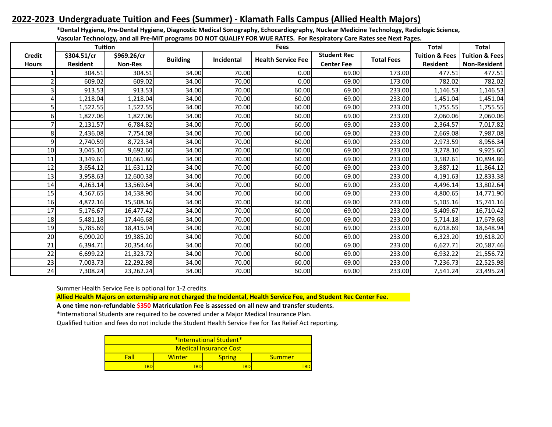## **2022-2023 Undergraduate Tuition and Fees (Summer) - Klamath Falls Campus (Allied Health Majors)**

**\*Dental Hygiene, Pre-Dental Hygiene, Diagnostic Medical Sonography, Echocardiography, Nuclear Medicine Technology, Radiologic Science, Vascular Technology, and all Pre-MIT programs DO NOT QUALIFY FOR WUE RATES. For Respiratory Care Rates see Next Pages.**

|                | <b>Tuition</b>  |                |                 |            | rascular recumbiogy, and an ric mirr programs bo not govern rion woe nares. Tornespiratory care nates see next rages<br><b>Fees</b> |                    |                   | <b>Total</b>              | Total                     |
|----------------|-----------------|----------------|-----------------|------------|-------------------------------------------------------------------------------------------------------------------------------------|--------------------|-------------------|---------------------------|---------------------------|
| <b>Credit</b>  | \$304.51/cr     | \$969.26/cr    |                 | Incidental | <b>Health Service Fee</b>                                                                                                           | <b>Student Rec</b> | <b>Total Fees</b> | <b>Tuition &amp; Fees</b> | <b>Tuition &amp; Fees</b> |
| <b>Hours</b>   | <b>Resident</b> | <b>Non-Res</b> | <b>Building</b> |            |                                                                                                                                     | <b>Center Fee</b>  |                   | <b>Resident</b>           | <b>Non-Resident</b>       |
|                | 304.51          | 304.51         | 34.00           | 70.00      | 0.00                                                                                                                                | 69.00              | 173.00            | 477.51                    | 477.51                    |
| $\overline{2}$ | 609.02          | 609.02         | 34.00           | 70.00      | 0.00                                                                                                                                | 69.00              | 173.00            | 782.02                    | 782.02                    |
| 3              | 913.53          | 913.53         | 34.00           | 70.00      | 60.00                                                                                                                               | 69.00              | 233.00            | 1,146.53                  | 1,146.53                  |
| 4              | 1,218.04        | 1,218.04       | 34.00           | 70.00      | 60.00                                                                                                                               | 69.00              | 233.00            | 1,451.04                  | 1,451.04                  |
| 5              | 1,522.55        | 1,522.55       | 34.00           | 70.00      | 60.00                                                                                                                               | 69.00              | 233.00            | 1,755.55                  | 1,755.55                  |
| 6              | 1,827.06        | 1,827.06       | 34.00           | 70.00      | 60.00                                                                                                                               | 69.00              | 233.00            | 2,060.06                  | 2,060.06                  |
| 7              | 2,131.57        | 6,784.82       | 34.00           | 70.00      | 60.00                                                                                                                               | 69.00              | 233.00            | 2,364.57                  | 7,017.82                  |
| 8              | 2,436.08        | 7,754.08       | 34.00           | 70.00      | 60.00                                                                                                                               | 69.00              | 233.00            | 2,669.08                  | 7,987.08                  |
| 9              | 2,740.59        | 8,723.34       | 34.00           | 70.00      | 60.00                                                                                                                               | 69.00              | 233.00            | 2,973.59                  | 8,956.34                  |
| 10             | 3,045.10        | 9,692.60       | 34.00           | 70.00      | 60.00                                                                                                                               | 69.00              | 233.00            | 3,278.10                  | 9,925.60                  |
| 11             | 3,349.61        | 10,661.86      | 34.00           | 70.00      | 60.00                                                                                                                               | 69.00              | 233.00            | 3,582.61                  | 10,894.86                 |
| 12             | 3,654.12        | 11,631.12      | 34.00           | 70.00      | 60.00                                                                                                                               | 69.00              | 233.00            | 3,887.12                  | 11,864.12                 |
| 13             | 3,958.63        | 12,600.38      | 34.00           | 70.00      | 60.00                                                                                                                               | 69.00              | 233.00            | 4,191.63                  | 12,833.38                 |
| 14             | 4,263.14        | 13,569.64      | 34.00           | 70.00      | 60.00                                                                                                                               | 69.00              | 233.00            | 4,496.14                  | 13,802.64                 |
| 15             | 4,567.65        | 14,538.90      | 34.00           | 70.00      | 60.00                                                                                                                               | 69.00              | 233.00            | 4,800.65                  | 14,771.90                 |
| 16             | 4,872.16        | 15,508.16      | 34.00           | 70.00      | 60.00                                                                                                                               | 69.00              | 233.00            | 5,105.16                  | 15,741.16                 |
| 17             | 5,176.67        | 16,477.42      | 34.00           | 70.00      | 60.00                                                                                                                               | 69.00              | 233.00            | 5,409.67                  | 16,710.42                 |
| 18             | 5,481.18        | 17,446.68      | 34.00           | 70.00      | 60.00                                                                                                                               | 69.00              | 233.00            | 5,714.18                  | 17,679.68                 |
| 19             | 5,785.69        | 18,415.94      | 34.00           | 70.00      | 60.00                                                                                                                               | 69.00              | 233.00            | 6,018.69                  | 18,648.94                 |
| 20             | 6,090.20        | 19,385.20      | 34.00           | 70.00      | 60.00                                                                                                                               | 69.00              | 233.00            | 6,323.20                  | 19,618.20                 |
| 21             | 6,394.71        | 20,354.46      | 34.00           | 70.00      | 60.00                                                                                                                               | 69.00              | 233.00            | 6,627.71                  | 20,587.46                 |
| 22             | 6,699.22        | 21,323.72      | 34.00           | 70.00      | 60.00                                                                                                                               | 69.00              | 233.00            | 6,932.22                  | 21,556.72                 |
| 23             | 7,003.73        | 22,292.98      | 34.00           | 70.00      | 60.00                                                                                                                               | 69.00              | 233.00            | 7,236.73                  | 22,525.98                 |
| 24             | 7,308.24        | 23,262.24      | 34.00           | 70.00      | 60.00                                                                                                                               | 69.00              | 233.00            | 7,541.24                  | 23,495.24                 |

Summer Health Service Fee is optional for 1-2 credits.

**Allied Health Majors on externship are not charged the Incidental, Health Service Fee, and Student Rec Center Fee.**

**A one time non-refundable \$350 Matriculation Fee is assessed on all new and transfer students.**

\*International Students are required to be covered under a Major Medical Insurance Plan.

| *International Student*       |        |               |        |  |  |  |  |  |  |
|-------------------------------|--------|---------------|--------|--|--|--|--|--|--|
| <b>Medical Insurance Cost</b> |        |               |        |  |  |  |  |  |  |
| Fal                           | Winter | <b>Spring</b> | Summer |  |  |  |  |  |  |
| TBD                           | TBD    |               | TRD    |  |  |  |  |  |  |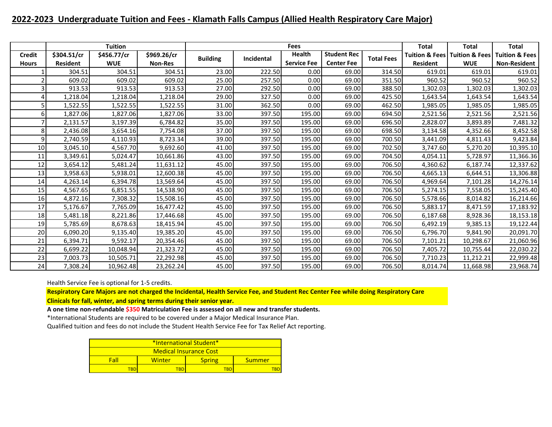### **2022-2023 Undergraduate Tuition and Fees - Klamath Falls Campus (Allied Health Respiratory Care Major)**

|               |                 | <b>Tuition</b> |                |                 |            | <b>Fees</b>        |                    |                   | <b>Total</b>    | <b>Total</b>                                   | <b>Total</b>              |
|---------------|-----------------|----------------|----------------|-----------------|------------|--------------------|--------------------|-------------------|-----------------|------------------------------------------------|---------------------------|
| <b>Credit</b> | \$304.51/cr     | \$456.77/cr    | \$969.26/cr    | <b>Building</b> | Incidental | <b>Health</b>      | <b>Student Rec</b> | <b>Total Fees</b> |                 | <b>Tuition &amp; Fees   Tuition &amp; Fees</b> | <b>Tuition &amp; Fees</b> |
| <b>Hours</b>  | <b>Resident</b> | <b>WUE</b>     | <b>Non-Res</b> |                 |            | <b>Service Fee</b> | <b>Center Fee</b>  |                   | <b>Resident</b> | <b>WUE</b>                                     | <b>Non-Resident</b>       |
|               | 304.51          | 304.51         | 304.51         | 23.00           | 222.50     | 0.00               | 69.00              | 314.50            | 619.01          | 619.01                                         | 619.01                    |
|               | 609.02          | 609.02         | 609.02         | 25.00           | 257.50     | 0.00               | 69.00              | 351.50            | 960.52          | 960.52                                         | 960.52                    |
|               | 913.53          | 913.53         | 913.53         | 27.00           | 292.50     | 0.00               | 69.00              | 388.50            | 1,302.03        | 1,302.03                                       | 1,302.03                  |
|               | 1,218.04        | 1,218.04       | 1,218.04       | 29.00           | 327.50     | 0.00               | 69.00              | 425.50            | 1,643.54        | 1,643.54                                       | 1,643.54                  |
|               | 1,522.55        | 1,522.55       | 1,522.55       | 31.00           | 362.50     | 0.00               | 69.00              | 462.50            | 1,985.05        | 1,985.05                                       | 1,985.05                  |
| 6             | 1,827.06        | 1,827.06       | 1,827.06       | 33.00           | 397.50     | 195.00             | 69.00              | 694.50            | 2,521.56        | 2,521.56                                       | 2,521.56                  |
|               | 2,131.57        | 3,197.39       | 6,784.82       | 35.00           | 397.50     | 195.00             | 69.00              | 696.50            | 2,828.07        | 3,893.89                                       | 7,481.32                  |
| 8             | 2,436.08        | 3,654.16       | 7,754.08       | 37.00           | 397.50     | 195.00             | 69.00              | 698.50            | 3,134.58        | 4,352.66                                       | 8,452.58                  |
| q             | 2.740.59        | 4,110.93       | 8,723.34       | 39.00           | 397.50     | 195.00             | 69.00              | 700.50            | 3,441.09        | 4,811.43                                       | 9,423.84                  |
| 10            | 3,045.10        | 4,567.70       | 9,692.60       | 41.00           | 397.50     | 195.00             | 69.00              | 702.50            | 3,747.60        | 5,270.20                                       | 10,395.10                 |
| 11            | 3,349.61        | 5,024.47       | 10,661.86      | 43.00           | 397.50     | 195.00             | 69.00              | 704.50            | 4,054.11        | 5,728.97                                       | 11,366.36                 |
| 12            | 3,654.12        | 5,481.24       | 11,631.12      | 45.00           | 397.50     | 195.00             | 69.00              | 706.50            | 4,360.62        | 6,187.74                                       | 12,337.62                 |
| 13            | 3,958.63        | 5,938.01       | 12,600.38      | 45.00           | 397.50     | 195.00             | 69.00              | 706.50            | 4,665.13        | 6,644.51                                       | 13,306.88                 |
| 14            | 4,263.14        | 6,394.78       | 13,569.64      | 45.00           | 397.50     | 195.00             | 69.00              | 706.50            | 4,969.64        | 7,101.28                                       | 14,276.14                 |
| 15            | 4,567.65        | 6,851.55       | 14,538.90      | 45.00           | 397.50     | 195.00             | 69.00              | 706.50            | 5,274.15        | 7,558.05                                       | 15,245.40                 |
| 16            | 4,872.16        | 7,308.32       | 15,508.16      | 45.00           | 397.50     | 195.00             | 69.00              | 706.50            | 5,578.66        | 8,014.82                                       | 16,214.66                 |
| 17            | 5,176.67        | 7,765.09       | 16,477.42      | 45.00           | 397.50     | 195.00             | 69.00              | 706.50            | 5,883.17        | 8,471.59                                       | 17,183.92                 |
| 18            | 5,481.18        | 8,221.86       | 17,446.68      | 45.00           | 397.50     | 195.00             | 69.00              | 706.50            | 6,187.68        | 8,928.36                                       | 18,153.18                 |
| 19            | 5,785.69        | 8,678.63       | 18,415.94      | 45.00           | 397.50     | 195.00             | 69.00              | 706.50            | 6,492.19        | 9,385.13                                       | 19,122.44                 |
| 20            | 6,090.20        | 9,135.40       | 19,385.20      | 45.00           | 397.50     | 195.00             | 69.00              | 706.50            | 6,796.70        | 9,841.90                                       | 20,091.70                 |
| 21            | 6,394.71        | 9,592.17       | 20,354.46      | 45.00           | 397.50     | 195.00             | 69.00              | 706.50            | 7,101.21        | 10,298.67                                      | 21,060.96                 |
| 22            | 6,699.22        | 10,048.94      | 21,323.72      | 45.00           | 397.50     | 195.00             | 69.00              | 706.50            | 7,405.72        | 10,755.44                                      | 22,030.22                 |
| 23            | 7,003.73        | 10,505.71      | 22,292.98      | 45.00           | 397.50     | 195.00             | 69.00              | 706.50            | 7,710.23        | 11,212.21                                      | 22,999.48                 |
| 24            | 7,308.24        | 10,962.48      | 23,262.24      | 45.00           | 397.50     | 195.00             | 69.00              | 706.50            | 8,014.74        | 11,668.98                                      | 23,968.74                 |

Health Service Fee is optional for 1-5 credits.

**Respiratory Care Majors are not charged the Incidental, Health Service Fee, and Student Rec Center Fee while doing Respiratory Care Clinicals for fall, winter, and spring terms during their senior year.**

**A one time non-refundable \$350 Matriculation Fee is assessed on all new and transfer students.**

\*International Students are required to be covered under a Major Medical Insurance Plan.

| *International Student* |        |               |        |  |  |  |  |  |  |
|-------------------------|--------|---------------|--------|--|--|--|--|--|--|
| Medical Insurance Cost  |        |               |        |  |  |  |  |  |  |
| Fall                    | Winter | <b>Spring</b> | Summer |  |  |  |  |  |  |
| TRN                     | TRD    | TRD           |        |  |  |  |  |  |  |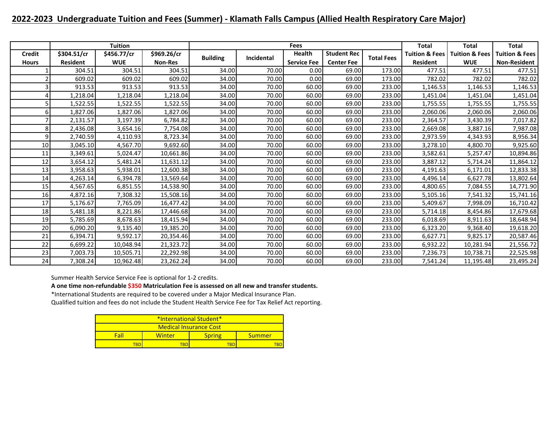### **2022-2023 Undergraduate Tuition and Fees (Summer) - Klamath Falls Campus (Allied Health Respiratory Care Major)**

|               |                 | <b>Tuition</b> |                |                 |            | Fees               |                    |                   | <b>Total</b>              | <b>Total</b>              | <b>Total</b>              |
|---------------|-----------------|----------------|----------------|-----------------|------------|--------------------|--------------------|-------------------|---------------------------|---------------------------|---------------------------|
| <b>Credit</b> | \$304.51/cr     | \$456.77/cr    | \$969.26/cr    |                 | Incidental | Health             | <b>Student Rec</b> | <b>Total Fees</b> | <b>Tuition &amp; Fees</b> | <b>Tuition &amp; Fees</b> | <b>Tuition &amp; Fees</b> |
| <b>Hours</b>  | <b>Resident</b> | <b>WUE</b>     | <b>Non-Res</b> | <b>Building</b> |            | <b>Service Fee</b> | <b>Center Fee</b>  |                   | <b>Resident</b>           | <b>WUE</b>                | <b>Non-Resident</b>       |
|               | 304.51          | 304.51         | 304.51         | 34.00           | 70.00      | 0.00               | 69.00              | 173.00            | 477.51                    | 477.51                    | 477.51                    |
|               | 609.02          | 609.02         | 609.02         | 34.00           | 70.00      | 0.00               | 69.00              | 173.00            | 782.02                    | 782.02                    | 782.02                    |
|               | 913.53          | 913.53         | 913.53         | 34.00           | 70.00      | 60.00              | 69.00              | 233.00            | 1,146.53                  | 1,146.53                  | 1,146.53                  |
|               | 1,218.04        | 1,218.04       | 1,218.04       | 34.00           | 70.00      | 60.00              | 69.00              | 233.00            | 1,451.04                  | 1,451.04                  | 1,451.04                  |
|               | 1,522.55        | 1,522.55       | 1,522.55       | 34.00           | 70.00      | 60.00              | 69.00              | 233.00            | 1,755.55                  | 1,755.55                  | 1,755.55                  |
|               | 1,827.06        | 1,827.06       | 1,827.06       | 34.00           | 70.00      | 60.00              | 69.00              | 233.00            | 2,060.06                  | 2,060.06                  | 2,060.06                  |
|               | 2,131.57        | 3,197.39       | 6,784.82       | 34.00           | 70.00      | 60.00              | 69.00              | 233.00            | 2,364.57                  | 3,430.39                  | 7,017.82                  |
|               | 2,436.08        | 3,654.16       | 7,754.08       | 34.00           | 70.00      | 60.00              | 69.00              | 233.00            | 2,669.08                  | 3,887.16                  | 7,987.08                  |
|               | 2,740.59        | 4,110.93       | 8,723.34       | 34.00           | 70.00      | 60.00              | 69.00              | 233.00            | 2,973.59                  | 4,343.93                  | 8,956.34                  |
| 10            | 3,045.10        | 4,567.70       | 9,692.60       | 34.00           | 70.00      | 60.00              | 69.00              | 233.00            | 3,278.10                  | 4,800.70                  | 9,925.60                  |
| 11            | 3,349.61        | 5,024.47       | 10,661.86      | 34.00           | 70.00      | 60.00              | 69.00              | 233.00            | 3,582.61                  | 5,257.47                  | 10,894.86                 |
| 12            | 3,654.12        | 5,481.24       | 11,631.12      | 34.00           | 70.00      | 60.00              | 69.00              | 233.00            | 3,887.12                  | 5,714.24                  | 11,864.12                 |
| 13            | 3,958.63        | 5,938.01       | 12,600.38      | 34.00           | 70.00      | 60.00              | 69.00              | 233.00            | 4,191.63                  | 6,171.01                  | 12,833.38                 |
| 14            | 4,263.14        | 6,394.78       | 13,569.64      | 34.00           | 70.00      | 60.00              | 69.00              | 233.00            | 4,496.14                  | 6,627.78                  | 13,802.64                 |
| 15            | 4,567.65        | 6,851.55       | 14,538.90      | 34.00           | 70.00      | 60.00              | 69.00              | 233.00            | 4,800.65                  | 7,084.55                  | 14,771.90                 |
| 16            | 4,872.16        | 7,308.32       | 15,508.16      | 34.00           | 70.00      | 60.00              | 69.00              | 233.00            | 5,105.16                  | 7,541.32                  | 15,741.16                 |
| 17            | 5,176.67        | 7,765.09       | 16,477.42      | 34.00           | 70.00      | 60.00              | 69.00              | 233.00            | 5,409.67                  | 7,998.09                  | 16,710.42                 |
| 18            | 5,481.18        | 8,221.86       | 17,446.68      | 34.00           | 70.00      | 60.00              | 69.00              | 233.00            | 5,714.18                  | 8,454.86                  | 17,679.68                 |
| 19            | 5,785.69        | 8,678.63       | 18,415.94      | 34.00           | 70.00      | 60.00              | 69.00              | 233.00            | 6,018.69                  | 8,911.63                  | 18,648.94                 |
| 20            | 6,090.20        | 9,135.40       | 19,385.20      | 34.00           | 70.00      | 60.00              | 69.00              | 233.00            | 6,323.20                  | 9,368.40                  | 19,618.20                 |
| 21            | 6,394.71        | 9,592.17       | 20,354.46      | 34.00           | 70.00      | 60.00              | 69.00              | 233.00            | 6,627.71                  | 9,825.17                  | 20,587.46                 |
| 22            | 6,699.22        | 10,048.94      | 21,323.72      | 34.00           | 70.00      | 60.00              | 69.00              | 233.00            | 6,932.22                  | 10,281.94                 | 21,556.72                 |
| 23            | 7,003.73        | 10,505.71      | 22,292.98      | 34.00           | 70.00      | 60.00              | 69.00              | 233.00            | 7,236.73                  | 10,738.71                 | 22,525.98                 |
| 24            | 7,308.24        | 10,962.48      | 23,262.24      | 34.00           | 70.00      | 60.00              | 69.00              | 233.00            | 7,541.24                  | 11,195.48                 | 23,495.24                 |

Summer Health Service Service Fee is optional for 1-2 credits.

**A one time non-refundable \$350 Matriculation Fee is assessed on all new and transfer students.**

\*International Students are required to be covered under a Major Medical Insurance Plan.

| *International Student* |        |               |        |  |  |  |  |  |  |  |
|-------------------------|--------|---------------|--------|--|--|--|--|--|--|--|
| Medical Insurance Cost  |        |               |        |  |  |  |  |  |  |  |
| Fall                    | Winter | <b>Spring</b> | Summer |  |  |  |  |  |  |  |
| ran<br>'BI              |        |               |        |  |  |  |  |  |  |  |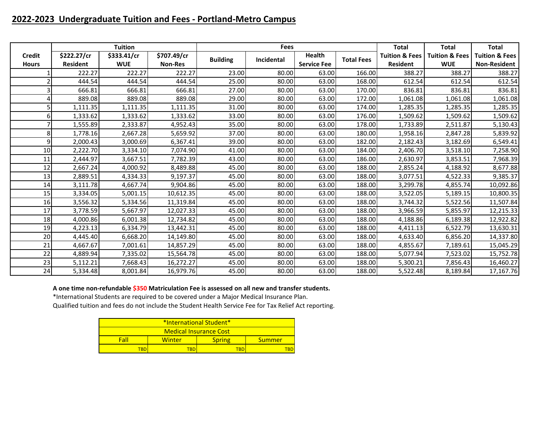# **2022-2023 Undergraduate Tuition and Fees - Portland-Metro Campus**

|               |                 | <b>Tuition</b> |                |                 | <b>Fees</b> |                    |                   | <b>Total</b>              | <b>Total</b>              | <b>Total</b>              |
|---------------|-----------------|----------------|----------------|-----------------|-------------|--------------------|-------------------|---------------------------|---------------------------|---------------------------|
| <b>Credit</b> | \$222.27/cr     | \$333.41/cr    | \$707.49/cr    | <b>Building</b> | Incidental  | <b>Health</b>      | <b>Total Fees</b> | <b>Tuition &amp; Fees</b> | <b>Tuition &amp; Fees</b> | <b>Tuition &amp; Fees</b> |
| <b>Hours</b>  | <b>Resident</b> | <b>WUE</b>     | <b>Non-Res</b> |                 |             | <b>Service Fee</b> |                   | <b>Resident</b>           | <b>WUE</b>                | <b>Non-Resident</b>       |
|               | 222.27          | 222.27         | 222.27         | 23.00           | 80.00       | 63.00              | 166.00            | 388.27                    | 388.27                    | 388.27                    |
|               | 444.54          | 444.54         | 444.54         | 25.00           | 80.00       | 63.00              | 168.00            | 612.54                    | 612.54                    | 612.54                    |
|               | 666.81          | 666.81         | 666.81         | 27.00           | 80.00       | 63.00              | 170.00            | 836.81                    | 836.81                    | 836.81                    |
|               | 889.08          | 889.08         | 889.08         | 29.00           | 80.00       | 63.00              | 172.00            | 1,061.08                  | 1,061.08                  | 1,061.08                  |
|               | 1,111.35        | 1,111.35       | 1,111.35       | 31.00           | 80.00       | 63.00              | 174.00            | 1,285.35                  | 1,285.35                  | 1,285.35                  |
| 6             | 1,333.62        | 1,333.62       | 1,333.62       | 33.00           | 80.00       | 63.00              | 176.00            | 1,509.62                  | 1,509.62                  | 1,509.62                  |
|               | 1,555.89        | 2,333.87       | 4,952.43       | 35.00           | 80.00       | 63.00              | 178.00            | 1,733.89                  | 2,511.87                  | 5,130.43                  |
| 8             | 1,778.16        | 2,667.28       | 5,659.92       | 37.00           | 80.00       | 63.00              | 180.00            | 1,958.16                  | 2,847.28                  | 5,839.92                  |
| 9             | 2,000.43        | 3,000.69       | 6,367.41       | 39.00           | 80.00       | 63.00              | 182.00            | 2,182.43                  | 3,182.69                  | 6,549.41                  |
| 10            | 2,222.70        | 3,334.10       | 7,074.90       | 41.00           | 80.00       | 63.00              | 184.00            | 2,406.70                  | 3,518.10                  | 7,258.90                  |
| 11            | 2,444.97        | 3,667.51       | 7,782.39       | 43.00           | 80.00       | 63.00              | 186.00            | 2,630.97                  | 3,853.51                  | 7,968.39                  |
| 12            | 2,667.24        | 4,000.92       | 8,489.88       | 45.00           | 80.00       | 63.00              | 188.00            | 2,855.24                  | 4,188.92                  | 8,677.88                  |
| 13            | 2,889.51        | 4,334.33       | 9,197.37       | 45.00           | 80.00       | 63.00              | 188.00            | 3,077.51                  | 4,522.33                  | 9,385.37                  |
| 14            | 3,111.78        | 4,667.74       | 9,904.86       | 45.00           | 80.00       | 63.00              | 188.00            | 3,299.78                  | 4,855.74                  | 10,092.86                 |
| 15            | 3,334.05        | 5,001.15       | 10,612.35      | 45.00           | 80.00       | 63.00              | 188.00            | 3,522.05                  | 5,189.15                  | 10,800.35                 |
| 16            | 3,556.32        | 5,334.56       | 11,319.84      | 45.00           | 80.00       | 63.00              | 188.00            | 3,744.32                  | 5,522.56                  | 11,507.84                 |
| 17            | 3,778.59        | 5,667.97       | 12,027.33      | 45.00           | 80.00       | 63.00              | 188.00            | 3,966.59                  | 5,855.97                  | 12,215.33                 |
| 18            | 4,000.86        | 6,001.38       | 12,734.82      | 45.00           | 80.00       | 63.00              | 188.00            | 4,188.86                  | 6,189.38                  | 12,922.82                 |
| 19            | 4,223.13        | 6,334.79       | 13,442.31      | 45.00           | 80.00       | 63.00              | 188.00            | 4,411.13                  | 6,522.79                  | 13,630.31                 |
| 20            | 4,445.40        | 6,668.20       | 14,149.80      | 45.00           | 80.00       | 63.00              | 188.00            | 4,633.40                  | 6,856.20                  | 14,337.80                 |
| 21            | 4,667.67        | 7,001.61       | 14,857.29      | 45.00           | 80.00       | 63.00              | 188.00            | 4,855.67                  | 7,189.61                  | 15,045.29                 |
| 22            | 4,889.94        | 7,335.02       | 15,564.78      | 45.00           | 80.00       | 63.00              | 188.00            | 5,077.94                  | 7,523.02                  | 15,752.78                 |
| 23            | 5,112.21        | 7,668.43       | 16,272.27      | 45.00           | 80.00       | 63.00              | 188.00            | 5,300.21                  | 7,856.43                  | 16,460.27                 |
| 24            | 5,334.48        | 8,001.84       | 16,979.76      | 45.00           | 80.00       | 63.00              | 188.00            | 5,522.48                  | 8,189.84                  | 17,167.76                 |

### **A one time non-refundable \$350 Matriculation Fee is assessed on all new and transfer students.**

\*International Students are required to be covered under a Major Medical Insurance Plan.

| *International Student* |        |               |        |  |  |  |  |  |  |  |
|-------------------------|--------|---------------|--------|--|--|--|--|--|--|--|
| Medical Insurance Cost  |        |               |        |  |  |  |  |  |  |  |
| Fall                    | Winter | <b>Spring</b> | Summer |  |  |  |  |  |  |  |
| твг                     |        | FBD           |        |  |  |  |  |  |  |  |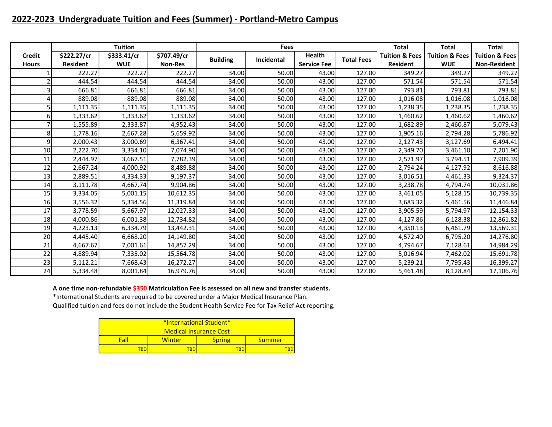# **2022-2023 Undergraduate Tuition and Fees (Summer) - Portland-Metro Campus**

|               |                 | <b>Tuition</b> |                |                 | <b>Fees</b> |                    |                   | <b>Total</b>              | <b>Total</b>              | <b>Total</b>              |
|---------------|-----------------|----------------|----------------|-----------------|-------------|--------------------|-------------------|---------------------------|---------------------------|---------------------------|
| <b>Credit</b> | \$222.27/cr     | \$333.41/cr    | \$707.49/cr    | <b>Building</b> | Incidental  | <b>Health</b>      | <b>Total Fees</b> | <b>Tuition &amp; Fees</b> | <b>Tuition &amp; Fees</b> | <b>Tuition &amp; Fees</b> |
| <b>Hours</b>  | <b>Resident</b> | <b>WUE</b>     | <b>Non-Res</b> |                 |             | <b>Service Fee</b> |                   | <b>Resident</b>           | <b>WUE</b>                | <b>Non-Resident</b>       |
|               | 222.27          | 222.27         | 222.27         | 34.00           | 50.00       | 43.00              | 127.00            | 349.27                    | 349.27                    | 349.27                    |
|               | 444.54          | 444.54         | 444.54         | 34.00           | 50.00       | 43.00              | 127.00            | 571.54                    | 571.54                    | 571.54                    |
|               | 666.81          | 666.81         | 666.81         | 34.00           | 50.00       | 43.00              | 127.00            | 793.81                    | 793.81                    | 793.81                    |
|               | 889.08          | 889.08         | 889.08         | 34.00           | 50.00       | 43.00              | 127.00            | 1,016.08                  | 1,016.08                  | 1,016.08                  |
|               | 1,111.35        | 1,111.35       | 1,111.35       | 34.00           | 50.00       | 43.00              | 127.00            | 1,238.35                  | 1,238.35                  | 1,238.35                  |
|               | 1,333.62        | 1,333.62       | 1,333.62       | 34.00           | 50.00       | 43.00              | 127.00            | 1,460.62                  | 1,460.62                  | 1,460.62                  |
|               | 1,555.89        | 2,333.87       | 4,952.43       | 34.00           | 50.00       | 43.00              | 127.00            | 1,682.89                  | 2,460.87                  | 5,079.43                  |
| 8             | 1,778.16        | 2,667.28       | 5,659.92       | 34.00           | 50.00       | 43.00              | 127.00            | 1,905.16                  | 2,794.28                  | 5,786.92                  |
| 9             | 2,000.43        | 3,000.69       | 6,367.41       | 34.00           | 50.00       | 43.00              | 127.00            | 2,127.43                  | 3,127.69                  | 6,494.41                  |
| 10            | 2,222.70        | 3,334.10       | 7,074.90       | 34.00           | 50.00       | 43.00              | 127.00            | 2,349.70                  | 3,461.10                  | 7,201.90                  |
| 11            | 2,444.97        | 3,667.51       | 7,782.39       | 34.00           | 50.00       | 43.00              | 127.00            | 2,571.97                  | 3,794.51                  | 7,909.39                  |
| 12            | 2,667.24        | 4,000.92       | 8,489.88       | 34.00           | 50.00       | 43.00              | 127.00            | 2,794.24                  | 4,127.92                  | 8,616.88                  |
| 13            | 2,889.51        | 4,334.33       | 9,197.37       | 34.00           | 50.00       | 43.00              | 127.00            | 3,016.51                  | 4,461.33                  | 9,324.37                  |
| 14            | 3,111.78        | 4,667.74       | 9,904.86       | 34.00           | 50.00       | 43.00              | 127.00            | 3,238.78                  | 4,794.74                  | 10,031.86                 |
| 15            | 3,334.05        | 5,001.15       | 10,612.35      | 34.00           | 50.00       | 43.00              | 127.00            | 3,461.05                  | 5,128.15                  | 10,739.35                 |
| 16            | 3,556.32        | 5,334.56       | 11,319.84      | 34.00           | 50.00       | 43.00              | 127.00            | 3,683.32                  | 5,461.56                  | 11,446.84                 |
| 17            | 3,778.59        | 5,667.97       | 12,027.33      | 34.00           | 50.00       | 43.00              | 127.00            | 3,905.59                  | 5,794.97                  | 12,154.33                 |
| 18            | 4,000.86        | 6,001.38       | 12,734.82      | 34.00           | 50.00       | 43.00              | 127.00            | 4,127.86                  | 6,128.38                  | 12,861.82                 |
| 19            | 4,223.13        | 6,334.79       | 13,442.31      | 34.00           | 50.00       | 43.00              | 127.00            | 4,350.13                  | 6,461.79                  | 13,569.31                 |
| 20            | 4,445.40        | 6,668.20       | 14,149.80      | 34.00           | 50.00       | 43.00              | 127.00            | 4,572.40                  | 6,795.20                  | 14,276.80                 |
| 21            | 4,667.67        | 7,001.61       | 14,857.29      | 34.00           | 50.00       | 43.00              | 127.00            | 4,794.67                  | 7,128.61                  | 14,984.29                 |
| 22            | 4,889.94        | 7,335.02       | 15,564.78      | 34.00           | 50.00       | 43.00              | 127.00            | 5,016.94                  | 7,462.02                  | 15,691.78                 |
| 23            | 5,112.21        | 7,668.43       | 16,272.27      | 34.00           | 50.00       | 43.00              | 127.00            | 5,239.21                  | 7,795.43                  | 16,399.27                 |
| 24            | 5,334.48        | 8,001.84       | 16,979.76      | 34.00           | 50.00       | 43.00              | 127.00            | 5,461.48                  | 8,128.84                  | 17,106.76                 |

### **A one time non-refundable \$350 Matriculation Fee is assessed on all new and transfer students.**

\*International Students are required to be covered under a Major Medical Insurance Plan.

| *International Student* |        |               |        |  |  |  |  |  |  |  |
|-------------------------|--------|---------------|--------|--|--|--|--|--|--|--|
| Medical Insurance Cost  |        |               |        |  |  |  |  |  |  |  |
| Fall                    | Winter | <b>Spring</b> | Summer |  |  |  |  |  |  |  |
| твг                     |        | FBD           |        |  |  |  |  |  |  |  |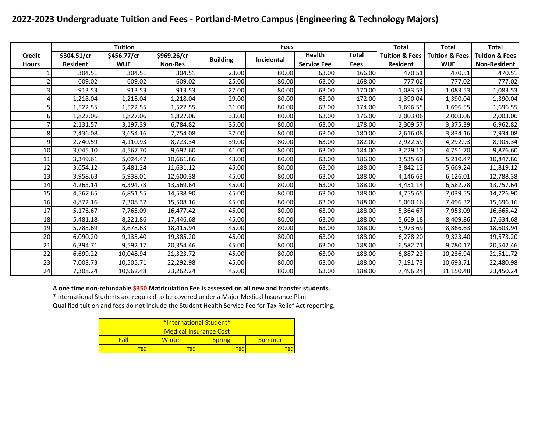# **2022-2023 Undergraduate Tuition and Fees - Portland-Metro Campus (Engineering & Technology Majors)**

|               |                 | <b>Tuition</b> |                |                 | <b>Fees</b> |                    |             | <b>Total</b>              | <b>Total</b>              | <b>Total</b>              |
|---------------|-----------------|----------------|----------------|-----------------|-------------|--------------------|-------------|---------------------------|---------------------------|---------------------------|
| <b>Credit</b> | \$304.51/cr     | \$456.77/cr    | \$969.26/cr    | <b>Building</b> | Incidental  | <b>Health</b>      | Total       | <b>Tuition &amp; Fees</b> | <b>Tuition &amp; Fees</b> | <b>Tuition &amp; Fees</b> |
| <b>Hours</b>  | <b>Resident</b> | <b>WUE</b>     | <b>Non-Res</b> |                 |             | <b>Service Fee</b> | <b>Fees</b> | <b>Resident</b>           | <b>WUE</b>                | <b>Non-Resident</b>       |
|               | 304.51          | 304.51         | 304.51         | 23.00           | 80.00       | 63.00              | 166.00      | 470.51                    | 470.51                    | 470.51                    |
|               | 609.02          | 609.02         | 609.02         | 25.00           | 80.00       | 63.00              | 168.00      | 777.02                    | 777.02                    | 777.02                    |
|               | 913.53          | 913.53         | 913.53         | 27.00           | 80.00       | 63.00              | 170.00      | 1,083.53                  | 1,083.53                  | 1,083.53                  |
|               | 1,218.04        | 1,218.04       | 1,218.04       | 29.00           | 80.00       | 63.00              | 172.00      | 1,390.04                  | 1,390.04                  | 1,390.04                  |
|               | 1,522.55        | 1,522.55       | 1,522.55       | 31.00           | 80.00       | 63.00              | 174.00      | 1,696.55                  | 1,696.55                  | 1,696.55                  |
|               | 1,827.06        | 1,827.06       | 1,827.06       | 33.00           | 80.00       | 63.00              | 176.00      | 2,003.06                  | 2,003.06                  | 2,003.06                  |
|               | 2,131.57        | 3,197.39       | 6,784.82       | 35.00           | 80.00       | 63.00              | 178.00      | 2,309.57                  | 3,375.39                  | 6,962.82                  |
| 8             | 2,436.08        | 3,654.16       | 7,754.08       | 37.00           | 80.00       | 63.00              | 180.00      | 2,616.08                  | 3,834.16                  | 7,934.08                  |
| 9             | 2,740.59        | 4,110.93       | 8,723.34       | 39.00           | 80.00       | 63.00              | 182.00      | 2,922.59                  | 4,292.93                  | 8,905.34                  |
| 10            | 3,045.10        | 4,567.70       | 9,692.60       | 41.00           | 80.00       | 63.00              | 184.00      | 3,229.10                  | 4,751.70                  | 9,876.60                  |
| 11            | 3,349.61        | 5,024.47       | 10,661.86      | 43.00           | 80.00       | 63.00              | 186.00      | 3,535.61                  | 5,210.47                  | 10,847.86                 |
| 12            | 3,654.12        | 5,481.24       | 11,631.12      | 45.00           | 80.00       | 63.00              | 188.00      | 3,842.12                  | 5,669.24                  | 11,819.12                 |
| 13            | 3,958.63        | 5,938.01       | 12,600.38      | 45.00           | 80.00       | 63.00              | 188.00      | 4,146.63                  | 6,126.01                  | 12,788.38                 |
| 14            | 4,263.14        | 6,394.78       | 13,569.64      | 45.00           | 80.00       | 63.00              | 188.00      | 4,451.14                  | 6,582.78                  | 13,757.64                 |
| 15            | 4,567.65        | 6,851.55       | 14,538.90      | 45.00           | 80.00       | 63.00              | 188.00      | 4,755.65                  | 7,039.55                  | 14,726.90                 |
| 16            | 4,872.16        | 7,308.32       | 15,508.16      | 45.00           | 80.00       | 63.00              | 188.00      | 5,060.16                  | 7,496.32                  | 15,696.16                 |
| 17            | 5,176.67        | 7,765.09       | 16,477.42      | 45.00           | 80.00       | 63.00              | 188.00      | 5,364.67                  | 7,953.09                  | 16,665.42                 |
| 18            | 5,481.18        | 8,221.86       | 17,446.68      | 45.00           | 80.00       | 63.00              | 188.00      | 5,669.18                  | 8,409.86                  | 17,634.68                 |
| 19            | 5,785.69        | 8,678.63       | 18,415.94      | 45.00           | 80.00       | 63.00              | 188.00      | 5,973.69                  | 8,866.63                  | 18,603.94                 |
| 20            | 6,090.20        | 9,135.40       | 19,385.20      | 45.00           | 80.00       | 63.00              | 188.00      | 6,278.20                  | 9,323.40                  | 19,573.20                 |
| 21            | 6,394.71        | 9,592.17       | 20,354.46      | 45.00           | 80.00       | 63.00              | 188.00      | 6,582.71                  | 9,780.17                  | 20,542.46                 |
| 22            | 6,699.22        | 10,048.94      | 21,323.72      | 45.00           | 80.00       | 63.00              | 188.00      | 6,887.22                  | 10,236.94                 | 21,511.72                 |
| 23            | 7,003.73        | 10,505.71      | 22,292.98      | 45.00           | 80.00       | 63.00              | 188.00      | 7,191.73                  | 10,693.71                 | 22,480.98                 |
| 24            | 7,308.24        | 10,962.48      | 23,262.24      | 45.00           | 80.00       | 63.00              | 188.00      | 7,496.24                  | 11,150.48                 | 23,450.24                 |

### **A one time non-refundable \$350 Matriculation Fee is assessed on all new and transfer students.**

\*International Students are required to be covered under a Major Medical Insurance Plan.

| *International Student* |        |               |        |  |  |  |  |  |  |  |
|-------------------------|--------|---------------|--------|--|--|--|--|--|--|--|
| Medical Insurance Cost  |        |               |        |  |  |  |  |  |  |  |
| Fall                    | Winter | <b>Spring</b> | Summer |  |  |  |  |  |  |  |
| твг                     |        | FBD           |        |  |  |  |  |  |  |  |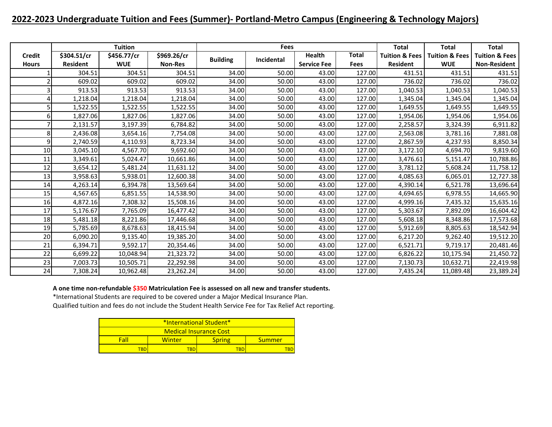# **2022-2023 Undergraduate Tuition and Fees (Summer)- Portland-Metro Campus (Engineering & Technology Majors)**

|               |                 | <b>Tuition</b> |                |                 | <b>Fees</b> |                    |              | <b>Total</b>              | <b>Total</b>              | <b>Total</b>              |
|---------------|-----------------|----------------|----------------|-----------------|-------------|--------------------|--------------|---------------------------|---------------------------|---------------------------|
| <b>Credit</b> | \$304.51/cr     | \$456.77/cr    | \$969.26/cr    | <b>Building</b> | Incidental  | <b>Health</b>      | <b>Total</b> | <b>Tuition &amp; Fees</b> | <b>Tuition &amp; Fees</b> | <b>Tuition &amp; Fees</b> |
| <b>Hours</b>  | <b>Resident</b> | <b>WUE</b>     | <b>Non-Res</b> |                 |             | <b>Service Fee</b> | <b>Fees</b>  | <b>Resident</b>           | <b>WUE</b>                | <b>Non-Resident</b>       |
|               | 304.51          | 304.51         | 304.51         | 34.00           | 50.00       | 43.00              | 127.00       | 431.51                    | 431.51                    | 431.51                    |
|               | 609.02          | 609.02         | 609.02         | 34.00           | 50.00       | 43.00              | 127.00       | 736.02                    | 736.02                    | 736.02                    |
|               | 913.53          | 913.53         | 913.53         | 34.00           | 50.00       | 43.00              | 127.00       | 1,040.53                  | 1,040.53                  | 1,040.53                  |
|               | 1,218.04        | 1,218.04       | 1,218.04       | 34.00           | 50.00       | 43.00              | 127.00       | 1,345.04                  | 1,345.04                  | 1,345.04                  |
|               | 1,522.55        | 1,522.55       | 1,522.55       | 34.00           | 50.00       | 43.00              | 127.00       | 1,649.55                  | 1,649.55                  | 1,649.55                  |
|               | 1,827.06        | 1,827.06       | 1,827.06       | 34.00           | 50.00       | 43.00              | 127.00       | 1,954.06                  | 1,954.06                  | 1,954.06                  |
|               | 2,131.57        | 3,197.39       | 6,784.82       | 34.00           | 50.00       | 43.00              | 127.00       | 2,258.57                  | 3,324.39                  | 6,911.82                  |
| 8             | 2,436.08        | 3,654.16       | 7,754.08       | 34.00           | 50.00       | 43.00              | 127.00       | 2,563.08                  | 3,781.16                  | 7,881.08                  |
| 9             | 2,740.59        | 4,110.93       | 8,723.34       | 34.00           | 50.00       | 43.00              | 127.00       | 2,867.59                  | 4,237.93                  | 8,850.34                  |
| 10            | 3,045.10        | 4,567.70       | 9,692.60       | 34.00           | 50.00       | 43.00              | 127.00       | 3,172.10                  | 4,694.70                  | 9,819.60                  |
| 11            | 3,349.61        | 5,024.47       | 10,661.86      | 34.00           | 50.00       | 43.00              | 127.00       | 3,476.61                  | 5,151.47                  | 10,788.86                 |
| 12            | 3,654.12        | 5,481.24       | 11,631.12      | 34.00           | 50.00       | 43.00              | 127.00       | 3,781.12                  | 5,608.24                  | 11,758.12                 |
| 13            | 3,958.63        | 5,938.01       | 12,600.38      | 34.00           | 50.00       | 43.00              | 127.00       | 4,085.63                  | 6,065.01                  | 12,727.38                 |
| 14            | 4,263.14        | 6,394.78       | 13,569.64      | 34.00           | 50.00       | 43.00              | 127.00       | 4,390.14                  | 6,521.78                  | 13,696.64                 |
| 15            | 4,567.65        | 6,851.55       | 14,538.90      | 34.00           | 50.00       | 43.00              | 127.00       | 4,694.65                  | 6,978.55                  | 14,665.90                 |
| 16            | 4,872.16        | 7,308.32       | 15,508.16      | 34.00           | 50.00       | 43.00              | 127.00       | 4,999.16                  | 7,435.32                  | 15,635.16                 |
| 17            | 5,176.67        | 7,765.09       | 16,477.42      | 34.00           | 50.00       | 43.00              | 127.00       | 5,303.67                  | 7,892.09                  | 16,604.42                 |
| 18            | 5,481.18        | 8,221.86       | 17,446.68      | 34.00           | 50.00       | 43.00              | 127.00       | 5,608.18                  | 8,348.86                  | 17,573.68                 |
| 19            | 5,785.69        | 8,678.63       | 18,415.94      | 34.00           | 50.00       | 43.00              | 127.00       | 5,912.69                  | 8,805.63                  | 18,542.94                 |
| 20            | 6,090.20        | 9,135.40       | 19,385.20      | 34.00           | 50.00       | 43.00              | 127.00       | 6,217.20                  | 9,262.40                  | 19,512.20                 |
| 21            | 6,394.71        | 9,592.17       | 20,354.46      | 34.00           | 50.00       | 43.00              | 127.00       | 6,521.71                  | 9,719.17                  | 20,481.46                 |
| 22            | 6,699.22        | 10,048.94      | 21,323.72      | 34.00           | 50.00       | 43.00              | 127.00       | 6,826.22                  | 10,175.94                 | 21,450.72                 |
| 23            | 7,003.73        | 10,505.71      | 22,292.98      | 34.00           | 50.00       | 43.00              | 127.00       | 7,130.73                  | 10,632.71                 | 22,419.98                 |
| 24            | 7,308.24        | 10,962.48      | 23,262.24      | 34.00           | 50.00       | 43.00              | 127.00       | 7,435.24                  | 11,089.48                 | 23,389.24                 |

### **A one time non-refundable \$350 Matriculation Fee is assessed on all new and transfer students.**

\*International Students are required to be covered under a Major Medical Insurance Plan.

| *International Student* |        |               |        |  |  |  |  |  |  |
|-------------------------|--------|---------------|--------|--|--|--|--|--|--|
| Medical Insurance Cost  |        |               |        |  |  |  |  |  |  |
| Fall                    | Winter | <b>Spring</b> | Summer |  |  |  |  |  |  |
| твг<br>FBD              |        |               |        |  |  |  |  |  |  |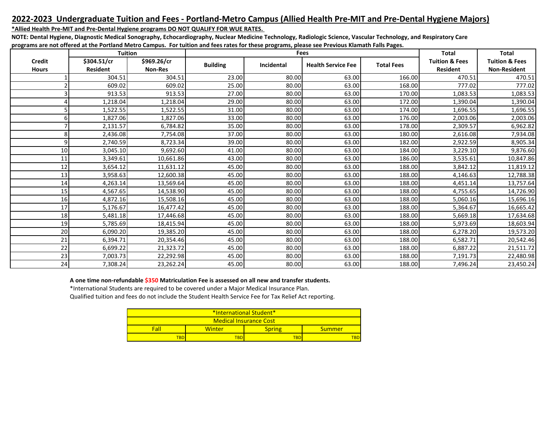### **2022-2023 Undergraduate Tuition and Fees - Portland-Metro Campus (Allied Health Pre-MIT and Pre-Dental Hygiene Majors)**

### **\*Allied Health Pre-MIT and Pre-Dental Hygiene programs DO NOT QUALIFY FOR WUE RATES.**

**NOTE: Dental Hygiene, Diagnostic Medical Sonography, Echocardiography, Nuclear Medicine Technology, Radiologic Science, Vascular Technology, and Respiratory Care programs are not offered at the Portland Metro Campus. For tuition and fees rates for these programs, please see Previous Klamath Falls Pages.**

|                               | <b>Tuition</b>                 |                               |                 |            | Fees                      |                   | <b>Total</b>                                 | <b>Total</b>                                     |
|-------------------------------|--------------------------------|-------------------------------|-----------------|------------|---------------------------|-------------------|----------------------------------------------|--------------------------------------------------|
| <b>Credit</b><br><b>Hours</b> | \$304.51/cr<br><b>Resident</b> | \$969.26/cr<br><b>Non-Res</b> | <b>Building</b> | Incidental | <b>Health Service Fee</b> | <b>Total Fees</b> | <b>Tuition &amp; Fees</b><br><b>Resident</b> | <b>Tuition &amp; Fees</b><br><b>Non-Resident</b> |
|                               | 304.51                         | 304.51                        | 23.00           | 80.00      | 63.00                     | 166.00            | 470.51                                       | 470.51                                           |
|                               | 609.02                         | 609.02                        | 25.00           | 80.00      | 63.00                     | 168.00            | 777.02                                       | 777.02                                           |
|                               | 913.53                         | 913.53                        | 27.00           | 80.00      | 63.00                     | 170.00            | 1,083.53                                     | 1,083.53                                         |
|                               | 1,218.04                       | 1,218.04                      | 29.00           | 80.00      | 63.00                     | 172.00            | 1,390.04                                     | 1,390.04                                         |
|                               | 1,522.55                       | 1,522.55                      | 31.00           | 80.00      | 63.00                     | 174.00            | 1,696.55                                     | 1,696.55                                         |
| 6                             | 1,827.06                       | 1,827.06                      | 33.00           | 80.00      | 63.00                     | 176.00            | 2,003.06                                     | 2,003.06                                         |
|                               | 2,131.57                       | 6,784.82                      | 35.00           | 80.00      | 63.00                     | 178.00            | 2,309.57                                     | 6,962.82                                         |
|                               | 2,436.08                       | 7,754.08                      | 37.00           | 80.00      | 63.00                     | 180.00            | 2,616.08                                     | 7,934.08                                         |
| q                             | 2,740.59                       | 8,723.34                      | 39.00           | 80.00      | 63.00                     | 182.00            | 2,922.59                                     | 8,905.34                                         |
| 10 <sup>1</sup>               | 3,045.10                       | 9,692.60                      | 41.00           | 80.00      | 63.00                     | 184.00            | 3,229.10                                     | 9,876.60                                         |
| 11                            | 3,349.61                       | 10,661.86                     | 43.00           | 80.00      | 63.00                     | 186.00            | 3,535.61                                     | 10,847.86                                        |
| 12                            | 3.654.12                       | 11,631.12                     | 45.00           | 80.00      | 63.00                     | 188.00            | 3,842.12                                     | 11,819.12                                        |
| 13                            | 3,958.63                       | 12,600.38                     | 45.00           | 80.00      | 63.00                     | 188.00            | 4,146.63                                     | 12,788.38                                        |
| 14                            | 4,263.14                       | 13,569.64                     | 45.00           | 80.00      | 63.00                     | 188.00            | 4,451.14                                     | 13,757.64                                        |
| 15                            | 4,567.65                       | 14,538.90                     | 45.00           | 80.00      | 63.00                     | 188.00            | 4,755.65                                     | 14,726.90                                        |
| 16                            | 4,872.16                       | 15,508.16                     | 45.00           | 80.00      | 63.00                     | 188.00            | 5,060.16                                     | 15,696.16                                        |
| 17                            | 5,176.67                       | 16,477.42                     | 45.00           | 80.00      | 63.00                     | 188.00            | 5,364.67                                     | 16,665.42                                        |
| 18                            | 5.481.18                       | 17,446.68                     | 45.00           | 80.00      | 63.00                     | 188.00            | 5,669.18                                     | 17,634.68                                        |
| 19                            | 5,785.69                       | 18,415.94                     | 45.00           | 80.00      | 63.00                     | 188.00            | 5,973.69                                     | 18,603.94                                        |
| 20                            | 6,090.20                       | 19,385.20                     | 45.00           | 80.00      | 63.00                     | 188.00            | 6,278.20                                     | 19,573.20                                        |
| 21                            | 6.394.71                       | 20,354.46                     | 45.00           | 80.00      | 63.00                     | 188.00            | 6,582.71                                     | 20,542.46                                        |
| 22                            | 6,699.22                       | 21,323.72                     | 45.00           | 80.00      | 63.00                     | 188.00            | 6,887.22                                     | 21,511.72                                        |
| 23                            | 7,003.73                       | 22,292.98                     | 45.00           | 80.00      | 63.00                     | 188.00            | 7.191.73                                     | 22,480.98                                        |
| 24                            | 7,308.24                       | 23,262.24                     | 45.00           | 80.00      | 63.00                     | 188.00            | 7,496.24                                     | 23,450.24                                        |

**A one time non-refundable \$350 Matriculation Fee is assessed on all new and transfer students.**

\*International Students are required to be covered under a Major Medical Insurance Plan.

| *International Student*  |        |                         |  |  |  |  |  |  |
|--------------------------|--------|-------------------------|--|--|--|--|--|--|
| Medical Insurance Cost   |        |                         |  |  |  |  |  |  |
| Fall                     | Winter | <b>Spring</b><br>Summer |  |  |  |  |  |  |
| TBD<br><b>FBD</b><br>TBD |        |                         |  |  |  |  |  |  |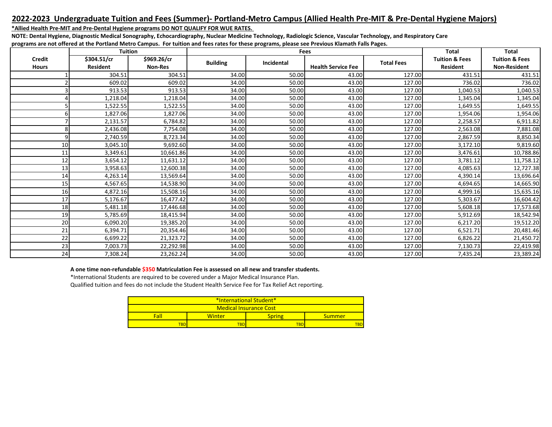### **2022-2023 Undergraduate Tuition and Fees (Summer)- Portland-Metro Campus (Allied Health Pre-MIT & Pre-Dental Hygiene Majors)**

**\*Allied Health Pre-MIT and Pre-Dental Hygiene programs DO NOT QUALIFY FOR WUE RATES.** 

**NOTE: Dental Hygiene, Diagnostic Medical Sonography, Echocardiography, Nuclear Medicine Technology, Radiologic Science, Vascular Technology, and Respiratory Care programs are not offered at the Portland Metro Campus. For tuition and fees rates for these programs, please see Previous Klamath Falls Pages.**

|               | <b>Tuition</b>  |                |                 | Fees       | <b>Total</b>              | <b>Total</b>      |                           |                           |
|---------------|-----------------|----------------|-----------------|------------|---------------------------|-------------------|---------------------------|---------------------------|
| <b>Credit</b> | \$304.51/cr     | \$969.26/cr    | <b>Building</b> | Incidental |                           | <b>Total Fees</b> | <b>Tuition &amp; Fees</b> | <b>Tuition &amp; Fees</b> |
| <b>Hours</b>  | <b>Resident</b> | <b>Non-Res</b> |                 |            | <b>Health Service Fee</b> |                   | <b>Resident</b>           | <b>Non-Resident</b>       |
|               | 304.51          | 304.51         | 34.00           | 50.00      | 43.00                     | 127.00            | 431.51                    | 431.51                    |
|               | 609.02          | 609.02         | 34.00           | 50.00      | 43.00                     | 127.00            | 736.02                    | 736.02                    |
|               | 913.53          | 913.53         | 34.00           | 50.00      | 43.00                     | 127.00            | 1,040.53                  | 1,040.53                  |
|               | 1,218.04        | 1,218.04       | 34.00           | 50.00      | 43.00                     | 127.00            | 1,345.04                  | 1,345.04                  |
|               | 1,522.55        | 1,522.55       | 34.00           | 50.00      | 43.00                     | 127.00            | 1,649.55                  | 1,649.55                  |
|               | 1,827.06        | 1,827.06       | 34.00           | 50.00      | 43.00                     | 127.00            | 1,954.06                  | 1,954.06                  |
|               | 2,131.57        | 6,784.82       | 34.00           | 50.00      | 43.00                     | 127.00            | 2,258.57                  | 6,911.82                  |
|               | 2,436.08        | 7,754.08       | 34.00           | 50.00      | 43.00                     | 127.00            | 2,563.08                  | 7,881.08                  |
|               | 2,740.59        | 8,723.34       | 34.00           | 50.00      | 43.00                     | 127.00            | 2,867.59                  | 8,850.34                  |
| 10            | 3,045.10        | 9,692.60       | 34.00           | 50.00      | 43.00                     | 127.00            | 3,172.10                  | 9,819.60                  |
| 11            | 3,349.61        | 10,661.86      | 34.00           | 50.00      | 43.00                     | 127.00            | 3,476.61                  | 10,788.86                 |
| 12            | 3,654.12        | 11,631.12      | 34.00           | 50.00      | 43.00                     | 127.00            | 3,781.12                  | 11,758.12                 |
| 13            | 3,958.63        | 12,600.38      | 34.00           | 50.00      | 43.00                     | 127.00            | 4,085.63                  | 12,727.38                 |
| 14            | 4,263.14        | 13,569.64      | 34.00           | 50.00      | 43.00                     | 127.00            | 4,390.14                  | 13,696.64                 |
| 15            | 4,567.65        | 14,538.90      | 34.00           | 50.00      | 43.00                     | 127.00            | 4,694.65                  | 14,665.90                 |
| 16            | 4,872.16        | 15,508.16      | 34.00           | 50.00      | 43.00                     | 127.00            | 4,999.16                  | 15,635.16                 |
| 17            | 5,176.67        | 16,477.42      | 34.00           | 50.00      | 43.00                     | 127.00            | 5,303.67                  | 16,604.42                 |
| 18            | 5,481.18        | 17,446.68      | 34.00           | 50.00      | 43.00                     | 127.00            | 5,608.18                  | 17,573.68                 |
| 19            | 5,785.69        | 18,415.94      | 34.00           | 50.00      | 43.00                     | 127.00            | 5,912.69                  | 18,542.94                 |
| 20            | 6,090.20        | 19,385.20      | 34.00           | 50.00      | 43.00                     | 127.00            | 6,217.20                  | 19,512.20                 |
| 21            | 6,394.71        | 20,354.46      | 34.00           | 50.00      | 43.00                     | 127.00            | 6,521.71                  | 20,481.46                 |
| 22            | 6,699.22        | 21,323.72      | 34.00           | 50.00      | 43.00                     | 127.00            | 6,826.22                  | 21,450.72                 |
| 23            | 7,003.73        | 22,292.98      | 34.00           | 50.00      | 43.00                     | 127.00            | 7,130.73                  | 22,419.98                 |
| 24            | 7,308.24        | 23,262.24      | 34.00           | 50.00      | 43.00                     | 127.00            | 7,435.24                  | 23,389.24                 |

#### **A one time non-refundable \$350 Matriculation Fee is assessed on all new and transfer students.**

\*International Students are required to be covered under a Major Medical Insurance Plan.

| *International Student*       |        |        |               |  |  |  |  |  |  |
|-------------------------------|--------|--------|---------------|--|--|--|--|--|--|
| <b>Medical Insurance Cost</b> |        |        |               |  |  |  |  |  |  |
| Fall                          | Winter | inring | <b>Summer</b> |  |  |  |  |  |  |
| 'BD                           | TBD    | TBD    |               |  |  |  |  |  |  |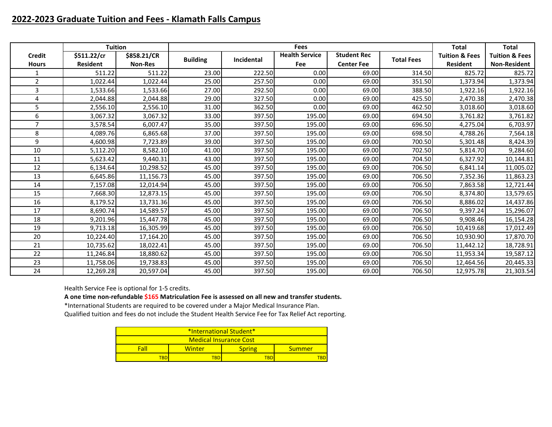# **2022-2023 Graduate Tuition and Fees - Klamath Falls Campus**

|                | <b>Tuition</b>  |                |                 |            | <b>Fees</b>           |                    |                   | <b>Total</b>              | <b>Total</b>              |
|----------------|-----------------|----------------|-----------------|------------|-----------------------|--------------------|-------------------|---------------------------|---------------------------|
| <b>Credit</b>  | \$511.22/cr     | \$858.21/CR    | <b>Building</b> | Incidental | <b>Health Service</b> | <b>Student Rec</b> | <b>Total Fees</b> | <b>Tuition &amp; Fees</b> | <b>Tuition &amp; Fees</b> |
| <b>Hours</b>   | <b>Resident</b> | <b>Non-Res</b> |                 |            | Fee                   | <b>Center Fee</b>  |                   | <b>Resident</b>           | <b>Non-Resident</b>       |
|                | 511.22          | 511.22         | 23.00           | 222.50     | 0.00                  | 69.00              | 314.50            | 825.72                    | 825.72                    |
| $\overline{2}$ | 1,022.44        | 1,022.44       | 25.00           | 257.50     | 0.00                  | 69.00              | 351.50            | 1,373.94                  | 1,373.94                  |
| 3              | 1,533.66        | 1,533.66       | 27.00           | 292.50     | 0.00                  | 69.00              | 388.50            | 1,922.16                  | 1,922.16                  |
| 4              | 2,044.88        | 2,044.88       | 29.00           | 327.50     | 0.00                  | 69.00              | 425.50            | 2,470.38                  | 2,470.38                  |
| 5              | 2,556.10        | 2,556.10       | 31.00           | 362.50     | 0.00                  | 69.00              | 462.50            | 3,018.60                  | 3,018.60                  |
| 6              | 3,067.32        | 3,067.32       | 33.00           | 397.50     | 195.00                | 69.00              | 694.50            | 3,761.82                  | 3,761.82                  |
| $\overline{7}$ | 3,578.54        | 6,007.47       | 35.00           | 397.50     | 195.00                | 69.00              | 696.50            | 4,275.04                  | 6,703.97                  |
| 8              | 4,089.76        | 6,865.68       | 37.00           | 397.50     | 195.00                | 69.00              | 698.50            | 4,788.26                  | 7,564.18                  |
| 9              | 4,600.98        | 7,723.89       | 39.00           | 397.50     | 195.00                | 69.00              | 700.50            | 5,301.48                  | 8,424.39                  |
| 10             | 5,112.20        | 8,582.10       | 41.00           | 397.50     | 195.00                | 69.00              | 702.50            | 5,814.70                  | 9,284.60                  |
| 11             | 5,623.42        | 9,440.31       | 43.00           | 397.50     | 195.00                | 69.00              | 704.50            | 6,327.92                  | 10,144.81                 |
| 12             | 6,134.64        | 10,298.52      | 45.00           | 397.50     | 195.00                | 69.00              | 706.50            | 6,841.14                  | 11,005.02                 |
| 13             | 6,645.86        | 11,156.73      | 45.00           | 397.50     | 195.00                | 69.00              | 706.50            | 7,352.36                  | 11,863.23                 |
| 14             | 7,157.08        | 12,014.94      | 45.00           | 397.50     | 195.00                | 69.00              | 706.50            | 7,863.58                  | 12,721.44                 |
| 15             | 7,668.30        | 12,873.15      | 45.00           | 397.50     | 195.00                | 69.00              | 706.50            | 8,374.80                  | 13,579.65                 |
| 16             | 8,179.52        | 13,731.36      | 45.00           | 397.50     | 195.00                | 69.00              | 706.50            | 8,886.02                  | 14,437.86                 |
| 17             | 8,690.74        | 14,589.57      | 45.00           | 397.50     | 195.00                | 69.00              | 706.50            | 9,397.24                  | 15,296.07                 |
| 18             | 9,201.96        | 15,447.78      | 45.00           | 397.50     | 195.00                | 69.00              | 706.50            | 9,908.46                  | 16,154.28                 |
| 19             | 9,713.18        | 16,305.99      | 45.00           | 397.50     | 195.00                | 69.00              | 706.50            | 10,419.68                 | 17,012.49                 |
| 20             | 10,224.40       | 17,164.20      | 45.00           | 397.50     | 195.00                | 69.00              | 706.50            | 10,930.90                 | 17,870.70                 |
| 21             | 10,735.62       | 18,022.41      | 45.00           | 397.50     | 195.00                | 69.00              | 706.50            | 11,442.12                 | 18,728.91                 |
| 22             | 11,246.84       | 18,880.62      | 45.00           | 397.50     | 195.00                | 69.00              | 706.50            | 11,953.34                 | 19,587.12                 |
| 23             | 11,758.06       | 19,738.83      | 45.00           | 397.50     | 195.00                | 69.00              | 706.50            | 12,464.56                 | 20,445.33                 |
| 24             | 12,269.28       | 20,597.04      | 45.00           | 397.50     | 195.00                | 69.00              | 706.50            | 12,975.78                 | 21,303.54                 |

Health Service Fee is optional for 1-5 credits.

**A one time non-refundable \$165 Matriculation Fee is assessed on all new and transfer students.**

\*International Students are required to be covered under a Major Medical Insurance Plan. Qualified tuition and fees do not include the Student Health Service Fee for Tax Relief Act reporting.

| *International Student* |        |               |        |  |  |  |  |  |
|-------------------------|--------|---------------|--------|--|--|--|--|--|
| Medical Insurance Cost  |        |               |        |  |  |  |  |  |
| Fal                     | Winter | <b>Spring</b> | Summer |  |  |  |  |  |
| rbd                     |        |               |        |  |  |  |  |  |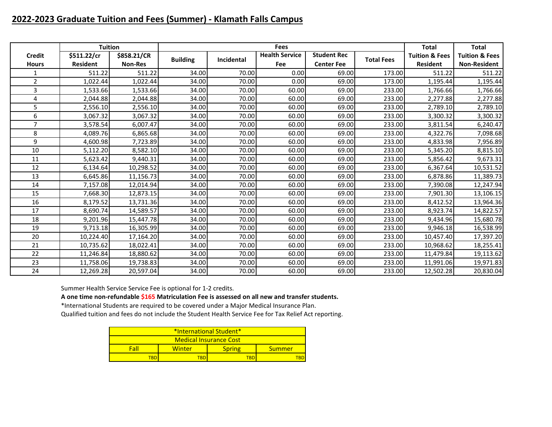# **2022-2023 Graduate Tuition and Fees (Summer) - Klamath Falls Campus**

|                | <b>Tuition</b>  |                |                 |            | <b>Fees</b>           |                    |                   | <b>Total</b>              | <b>Total</b>              |
|----------------|-----------------|----------------|-----------------|------------|-----------------------|--------------------|-------------------|---------------------------|---------------------------|
| <b>Credit</b>  | \$511.22/cr     | \$858.21/CR    | <b>Building</b> | Incidental | <b>Health Service</b> | <b>Student Rec</b> | <b>Total Fees</b> | <b>Tuition &amp; Fees</b> | <b>Tuition &amp; Fees</b> |
| <b>Hours</b>   | <b>Resident</b> | <b>Non-Res</b> |                 |            | Fee                   | <b>Center Fee</b>  |                   | <b>Resident</b>           | <b>Non-Resident</b>       |
| 1              | 511.22          | 511.22         | 34.00           | 70.00      | 0.00                  | 69.00              | 173.00            | 511.22                    | 511.22                    |
| $\overline{2}$ | 1,022.44        | 1,022.44       | 34.00           | 70.00      | 0.00                  | 69.00              | 173.00            | 1,195.44                  | 1,195.44                  |
| 3              | 1,533.66        | 1,533.66       | 34.00           | 70.00      | 60.00                 | 69.00              | 233.00            | 1,766.66                  | 1,766.66                  |
| 4              | 2,044.88        | 2,044.88       | 34.00           | 70.00      | 60.00                 | 69.00              | 233.00            | 2,277.88                  | 2,277.88                  |
| 5              | 2,556.10        | 2,556.10       | 34.00           | 70.00      | 60.00                 | 69.00              | 233.00            | 2,789.10                  | 2,789.10                  |
| 6              | 3,067.32        | 3,067.32       | 34.00           | 70.00      | 60.00                 | 69.00              | 233.00            | 3,300.32                  | 3,300.32                  |
| $\overline{7}$ | 3,578.54        | 6,007.47       | 34.00           | 70.00      | 60.00                 | 69.00              | 233.00            | 3,811.54                  | 6,240.47                  |
| 8              | 4,089.76        | 6,865.68       | 34.00           | 70.00      | 60.00                 | 69.00              | 233.00            | 4,322.76                  | 7,098.68                  |
| 9              | 4,600.98        | 7,723.89       | 34.00           | 70.00      | 60.00                 | 69.00              | 233.00            | 4,833.98                  | 7,956.89                  |
| 10             | 5,112.20        | 8,582.10       | 34.00           | 70.00      | 60.00                 | 69.00              | 233.00            | 5,345.20                  | 8,815.10                  |
| 11             | 5,623.42        | 9,440.31       | 34.00           | 70.00      | 60.00                 | 69.00              | 233.00            | 5,856.42                  | 9,673.31                  |
| 12             | 6,134.64        | 10,298.52      | 34.00           | 70.00      | 60.00                 | 69.00              | 233.00            | 6,367.64                  | 10,531.52                 |
| 13             | 6,645.86        | 11,156.73      | 34.00           | 70.00      | 60.00                 | 69.00              | 233.00            | 6,878.86                  | 11,389.73                 |
| 14             | 7,157.08        | 12,014.94      | 34.00           | 70.00      | 60.00                 | 69.00              | 233.00            | 7,390.08                  | 12,247.94                 |
| 15             | 7,668.30        | 12,873.15      | 34.00           | 70.00      | 60.00                 | 69.00              | 233.00            | 7,901.30                  | 13,106.15                 |
| 16             | 8,179.52        | 13,731.36      | 34.00           | 70.00      | 60.00                 | 69.00              | 233.00            | 8,412.52                  | 13,964.36                 |
| 17             | 8,690.74        | 14,589.57      | 34.00           | 70.00      | 60.00                 | 69.00              | 233.00            | 8,923.74                  | 14,822.57                 |
| 18             | 9,201.96        | 15,447.78      | 34.00           | 70.00      | 60.00                 | 69.00              | 233.00            | 9,434.96                  | 15,680.78                 |
| 19             | 9,713.18        | 16,305.99      | 34.00           | 70.00      | 60.00                 | 69.00              | 233.00            | 9,946.18                  | 16,538.99                 |
| 20             | 10,224.40       | 17,164.20      | 34.00           | 70.00      | 60.00                 | 69.00              | 233.00            | 10,457.40                 | 17,397.20                 |
| 21             | 10,735.62       | 18,022.41      | 34.00           | 70.00      | 60.00                 | 69.00              | 233.00            | 10,968.62                 | 18,255.41                 |
| 22             | 11,246.84       | 18,880.62      | 34.00           | 70.00      | 60.00                 | 69.00              | 233.00            | 11,479.84                 | 19,113.62                 |
| 23             | 11,758.06       | 19,738.83      | 34.00           | 70.00      | 60.00                 | 69.00              | 233.00            | 11,991.06                 | 19,971.83                 |
| 24             | 12,269.28       | 20,597.04      | 34.00           | 70.00      | 60.00                 | 69.00              | 233.00            | 12,502.28                 | 20,830.04                 |

Summer Health Service Service Fee is optional for 1-2 credits.

**A one time non-refundable \$165 Matriculation Fee is assessed on all new and transfer students.**

\*International Students are required to be covered under a Major Medical Insurance Plan.

| *International Student* |        |               |        |  |  |  |  |  |  |
|-------------------------|--------|---------------|--------|--|--|--|--|--|--|
| Medical Insurance Cost  |        |               |        |  |  |  |  |  |  |
| Fal                     | Winter | <b>Spring</b> | Summer |  |  |  |  |  |  |
| TBD<br>TRD<br>rar       |        |               |        |  |  |  |  |  |  |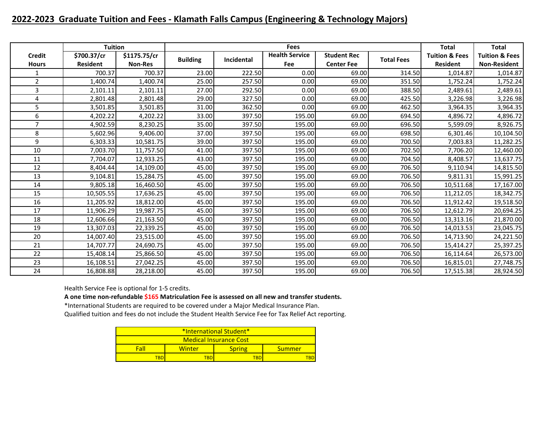# **2022-2023 Graduate Tuition and Fees - Klamath Falls Campus (Engineering & Technology Majors)**

|                | <b>Tuition</b>  |                |                 |            | <b>Fees</b>           |                    |                   | <b>Total</b>              | <b>Total</b>              |
|----------------|-----------------|----------------|-----------------|------------|-----------------------|--------------------|-------------------|---------------------------|---------------------------|
| <b>Credit</b>  | \$700.37/cr     | \$1175.75/cr   |                 |            | <b>Health Service</b> | <b>Student Rec</b> | <b>Total Fees</b> | <b>Tuition &amp; Fees</b> | <b>Tuition &amp; Fees</b> |
| <b>Hours</b>   | <b>Resident</b> | <b>Non-Res</b> | <b>Building</b> | Incidental | Fee                   | <b>Center Fee</b>  |                   | <b>Resident</b>           | <b>Non-Resident</b>       |
| 1              | 700.37          | 700.37         | 23.00           | 222.50     | 0.00                  | 69.00              | 314.50            | 1,014.87                  | 1,014.87                  |
| $\overline{2}$ | 1,400.74        | 1,400.74       | 25.00           | 257.50     | 0.00                  | 69.00              | 351.50            | 1,752.24                  | 1,752.24                  |
| 3              | 2,101.11        | 2,101.11       | 27.00           | 292.50     | 0.00                  | 69.00              | 388.50            | 2,489.61                  | 2,489.61                  |
| 4              | 2,801.48        | 2,801.48       | 29.00           | 327.50     | 0.00                  | 69.00              | 425.50            | 3,226.98                  | 3,226.98                  |
| 5              | 3,501.85        | 3,501.85       | 31.00           | 362.50     | 0.00                  | 69.00              | 462.50            | 3,964.35                  | 3,964.35                  |
| 6              | 4,202.22        | 4,202.22       | 33.00           | 397.50     | 195.00                | 69.00              | 694.50            | 4,896.72                  | 4,896.72                  |
| $\overline{7}$ | 4,902.59        | 8,230.25       | 35.00           | 397.50     | 195.00                | 69.00              | 696.50            | 5,599.09                  | 8,926.75                  |
| 8              | 5,602.96        | 9,406.00       | 37.00           | 397.50     | 195.00                | 69.00              | 698.50            | 6,301.46                  | 10,104.50                 |
| 9              | 6,303.33        | 10,581.75      | 39.00           | 397.50     | 195.00                | 69.00              | 700.50            | 7,003.83                  | 11,282.25                 |
| 10             | 7,003.70        | 11,757.50      | 41.00           | 397.50     | 195.00                | 69.00              | 702.50            | 7,706.20                  | 12,460.00                 |
| 11             | 7,704.07        | 12,933.25      | 43.00           | 397.50     | 195.00                | 69.00              | 704.50            | 8,408.57                  | 13,637.75                 |
| 12             | 8,404.44        | 14,109.00      | 45.00           | 397.50     | 195.00                | 69.00              | 706.50            | 9,110.94                  | 14,815.50                 |
| 13             | 9,104.81        | 15,284.75      | 45.00           | 397.50     | 195.00                | 69.00              | 706.50            | 9,811.31                  | 15,991.25                 |
| 14             | 9,805.18        | 16,460.50      | 45.00           | 397.50     | 195.00                | 69.00              | 706.50            | 10,511.68                 | 17,167.00                 |
| 15             | 10,505.55       | 17,636.25      | 45.00           | 397.50     | 195.00                | 69.00              | 706.50            | 11,212.05                 | 18,342.75                 |
| 16             | 11,205.92       | 18,812.00      | 45.00           | 397.50     | 195.00                | 69.00              | 706.50            | 11,912.42                 | 19,518.50                 |
| 17             | 11,906.29       | 19,987.75      | 45.00           | 397.50     | 195.00                | 69.00              | 706.50            | 12,612.79                 | 20,694.25                 |
| 18             | 12,606.66       | 21,163.50      | 45.00           | 397.50     | 195.00                | 69.00              | 706.50            | 13,313.16                 | 21,870.00                 |
| 19             | 13,307.03       | 22,339.25      | 45.00           | 397.50     | 195.00                | 69.00              | 706.50            | 14,013.53                 | 23,045.75                 |
| 20             | 14,007.40       | 23,515.00      | 45.00           | 397.50     | 195.00                | 69.00              | 706.50            | 14,713.90                 | 24,221.50                 |
| 21             | 14,707.77       | 24,690.75      | 45.00           | 397.50     | 195.00                | 69.00              | 706.50            | 15,414.27                 | 25,397.25                 |
| 22             | 15,408.14       | 25,866.50      | 45.00           | 397.50     | 195.00                | 69.00              | 706.50            | 16,114.64                 | 26,573.00                 |
| 23             | 16,108.51       | 27,042.25      | 45.00           | 397.50     | 195.00                | 69.00              | 706.50            | 16,815.01                 | 27,748.75                 |
| 24             | 16,808.88       | 28,218.00      | 45.00           | 397.50     | 195.00                | 69.00              | 706.50            | 17,515.38                 | 28,924.50                 |

Health Service Fee is optional for 1-5 credits.

**A one time non-refundable \$165 Matriculation Fee is assessed on all new and transfer students.**

\*International Students are required to be covered under a Major Medical Insurance Plan. Qualified tuition and fees do not include the Student Health Service Fee for Tax Relief Act reporting.

| *International Student* |            |               |        |  |  |  |  |  |  |
|-------------------------|------------|---------------|--------|--|--|--|--|--|--|
| Medical Insurance Cost  |            |               |        |  |  |  |  |  |  |
| Fall                    | Winter     | <b>Spring</b> | Summer |  |  |  |  |  |  |
| <b>TBD</b>              | TBP<br>TRſ |               |        |  |  |  |  |  |  |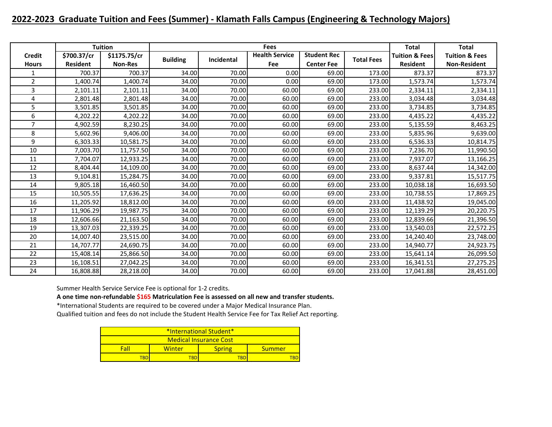# **2022-2023 Graduate Tuition and Fees (Summer) - Klamath Falls Campus (Engineering & Technology Majors)**

|                |                 | <b>Tuition</b> |                 |            | <b>Fees</b>           |                    |                   | <b>Total</b>              | <b>Total</b>              |
|----------------|-----------------|----------------|-----------------|------------|-----------------------|--------------------|-------------------|---------------------------|---------------------------|
| <b>Credit</b>  | \$700.37/cr     | \$1175.75/cr   | <b>Building</b> | Incidental | <b>Health Service</b> | <b>Student Rec</b> | <b>Total Fees</b> | <b>Tuition &amp; Fees</b> | <b>Tuition &amp; Fees</b> |
| <b>Hours</b>   | <b>Resident</b> | <b>Non-Res</b> |                 |            | Fee                   | <b>Center Fee</b>  |                   | <b>Resident</b>           | <b>Non-Resident</b>       |
| 1              | 700.37          | 700.37         | 34.00           | 70.00      | 0.00                  | 69.00              | 173.00            | 873.37                    | 873.37                    |
| $\overline{2}$ | 1,400.74        | 1,400.74       | 34.00           | 70.00      | 0.00                  | 69.00              | 173.00            | 1,573.74                  | 1,573.74                  |
| 3              | 2,101.11        | 2,101.11       | 34.00           | 70.00      | 60.00                 | 69.00              | 233.00            | 2,334.11                  | 2,334.11                  |
| 4              | 2,801.48        | 2,801.48       | 34.00           | 70.00      | 60.00                 | 69.00              | 233.00            | 3,034.48                  | 3,034.48                  |
| 5              | 3,501.85        | 3,501.85       | 34.00           | 70.00      | 60.00                 | 69.00              | 233.00            | 3,734.85                  | 3,734.85                  |
| 6              | 4,202.22        | 4,202.22       | 34.00           | 70.00      | 60.00                 | 69.00              | 233.00            | 4,435.22                  | 4,435.22                  |
| $\overline{7}$ | 4,902.59        | 8,230.25       | 34.00           | 70.00      | 60.00                 | 69.00              | 233.00            | 5,135.59                  | 8,463.25                  |
| 8              | 5,602.96        | 9,406.00       | 34.00           | 70.00      | 60.00                 | 69.00              | 233.00            | 5,835.96                  | 9,639.00                  |
| 9              | 6,303.33        | 10,581.75      | 34.00           | 70.00      | 60.00                 | 69.00              | 233.00            | 6,536.33                  | 10,814.75                 |
| 10             | 7,003.70        | 11,757.50      | 34.00           | 70.00      | 60.00                 | 69.00              | 233.00            | 7,236.70                  | 11,990.50                 |
| 11             | 7,704.07        | 12,933.25      | 34.00           | 70.00      | 60.00                 | 69.00              | 233.00            | 7,937.07                  | 13,166.25                 |
| 12             | 8,404.44        | 14,109.00      | 34.00           | 70.00      | 60.00                 | 69.00              | 233.00            | 8,637.44                  | 14,342.00                 |
| 13             | 9,104.81        | 15,284.75      | 34.00           | 70.00      | 60.00                 | 69.00              | 233.00            | 9,337.81                  | 15,517.75                 |
| 14             | 9,805.18        | 16,460.50      | 34.00           | 70.00      | 60.00                 | 69.00              | 233.00            | 10,038.18                 | 16,693.50                 |
| 15             | 10,505.55       | 17,636.25      | 34.00           | 70.00      | 60.00                 | 69.00              | 233.00            | 10,738.55                 | 17,869.25                 |
| 16             | 11,205.92       | 18,812.00      | 34.00           | 70.00      | 60.00                 | 69.00              | 233.00            | 11,438.92                 | 19,045.00                 |
| 17             | 11,906.29       | 19,987.75      | 34.00           | 70.00      | 60.00                 | 69.00              | 233.00            | 12,139.29                 | 20,220.75                 |
| 18             | 12,606.66       | 21,163.50      | 34.00           | 70.00      | 60.00                 | 69.00              | 233.00            | 12,839.66                 | 21,396.50                 |
| 19             | 13,307.03       | 22,339.25      | 34.00           | 70.00      | 60.00                 | 69.00              | 233.00            | 13,540.03                 | 22,572.25                 |
| 20             | 14,007.40       | 23,515.00      | 34.00           | 70.00      | 60.00                 | 69.00              | 233.00            | 14,240.40                 | 23,748.00                 |
| 21             | 14,707.77       | 24,690.75      | 34.00           | 70.00      | 60.00                 | 69.00              | 233.00            | 14,940.77                 | 24,923.75                 |
| 22             | 15,408.14       | 25,866.50      | 34.00           | 70.00      | 60.00                 | 69.00              | 233.00            | 15,641.14                 | 26,099.50                 |
| 23             | 16,108.51       | 27,042.25      | 34.00           | 70.00      | 60.00                 | 69.00              | 233.00            | 16,341.51                 | 27,275.25                 |
| 24             | 16,808.88       | 28,218.00      | 34.00           | 70.00      | 60.00                 | 69.00              | 233.00            | 17,041.88                 | 28,451.00                 |

Summer Health Service Service Fee is optional for 1-2 credits.

**A one time non-refundable \$165 Matriculation Fee is assessed on all new and transfer students.**

\*International Students are required to be covered under a Major Medical Insurance Plan. Qualified tuition and fees do not include the Student Health Service Fee for Tax Relief Act reporting.

| *International Student* |                        |               |        |  |  |  |  |  |  |
|-------------------------|------------------------|---------------|--------|--|--|--|--|--|--|
|                         | Medical Insurance Cost |               |        |  |  |  |  |  |  |
| Fal                     | Winter                 | <b>Spring</b> | Summer |  |  |  |  |  |  |
| TRD                     | TRF                    |               |        |  |  |  |  |  |  |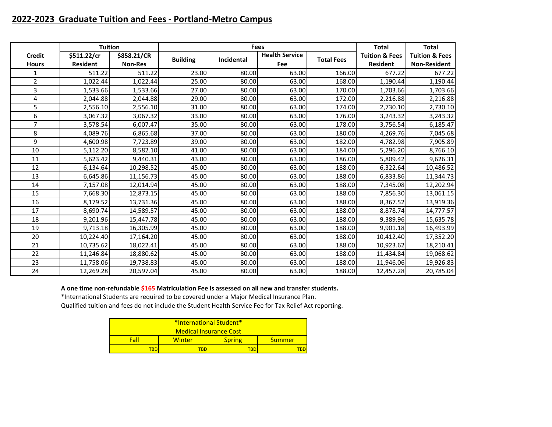## **2022-2023 Graduate Tuition and Fees - Portland-Metro Campus**

|                | <b>Tuition</b>  |                |                 |            | <b>Fees</b>           |                   | <b>Total</b>              | <b>Total</b>              |
|----------------|-----------------|----------------|-----------------|------------|-----------------------|-------------------|---------------------------|---------------------------|
| <b>Credit</b>  | \$511.22/cr     | \$858.21/CR    | <b>Building</b> | Incidental | <b>Health Service</b> | <b>Total Fees</b> | <b>Tuition &amp; Fees</b> | <b>Tuition &amp; Fees</b> |
| <b>Hours</b>   | <b>Resident</b> | <b>Non-Res</b> |                 |            | <b>Fee</b>            |                   | <b>Resident</b>           | <b>Non-Resident</b>       |
| 1              | 511.22          | 511.22         | 23.00           | 80.00      | 63.00                 | 166.00            | 677.22                    | 677.22                    |
| $\overline{2}$ | 1,022.44        | 1,022.44       | 25.00           | 80.00      | 63.00                 | 168.00            | 1,190.44                  | 1,190.44                  |
| 3              | 1,533.66        | 1,533.66       | 27.00           | 80.00      | 63.00                 | 170.00            | 1,703.66                  | 1,703.66                  |
| 4              | 2,044.88        | 2,044.88       | 29.00           | 80.00      | 63.00                 | 172.00            | 2,216.88                  | 2,216.88                  |
| 5              | 2,556.10        | 2,556.10       | 31.00           | 80.00      | 63.00                 | 174.00            | 2,730.10                  | 2,730.10                  |
| 6              | 3,067.32        | 3,067.32       | 33.00           | 80.00      | 63.00                 | 176.00            | 3,243.32                  | 3,243.32                  |
| $\overline{7}$ | 3,578.54        | 6,007.47       | 35.00           | 80.00      | 63.00                 | 178.00            | 3,756.54                  | 6,185.47                  |
| 8              | 4,089.76        | 6,865.68       | 37.00           | 80.00      | 63.00                 | 180.00            | 4,269.76                  | 7,045.68                  |
| 9              | 4,600.98        | 7,723.89       | 39.00           | 80.00      | 63.00                 | 182.00            | 4,782.98                  | 7,905.89                  |
| 10             | 5,112.20        | 8,582.10       | 41.00           | 80.00      | 63.00                 | 184.00            | 5,296.20                  | 8,766.10                  |
| 11             | 5,623.42        | 9,440.31       | 43.00           | 80.00      | 63.00                 | 186.00            | 5,809.42                  | 9,626.31                  |
| 12             | 6,134.64        | 10,298.52      | 45.00           | 80.00      | 63.00                 | 188.00            | 6,322.64                  | 10,486.52                 |
| 13             | 6,645.86        | 11,156.73      | 45.00           | 80.00      | 63.00                 | 188.00            | 6,833.86                  | 11,344.73                 |
| 14             | 7,157.08        | 12,014.94      | 45.00           | 80.00      | 63.00                 | 188.00            | 7,345.08                  | 12,202.94                 |
| 15             | 7,668.30        | 12,873.15      | 45.00           | 80.00      | 63.00                 | 188.00            | 7,856.30                  | 13,061.15                 |
| 16             | 8,179.52        | 13,731.36      | 45.00           | 80.00      | 63.00                 | 188.00            | 8,367.52                  | 13,919.36                 |
| 17             | 8,690.74        | 14,589.57      | 45.00           | 80.00      | 63.00                 | 188.00            | 8,878.74                  | 14,777.57                 |
| 18             | 9,201.96        | 15,447.78      | 45.00           | 80.00      | 63.00                 | 188.00            | 9,389.96                  | 15,635.78                 |
| 19             | 9,713.18        | 16,305.99      | 45.00           | 80.00      | 63.00                 | 188.00            | 9,901.18                  | 16,493.99                 |
| 20             | 10,224.40       | 17,164.20      | 45.00           | 80.00      | 63.00                 | 188.00            | 10,412.40                 | 17,352.20                 |
| 21             | 10,735.62       | 18,022.41      | 45.00           | 80.00      | 63.00                 | 188.00            | 10,923.62                 | 18,210.41                 |
| 22             | 11,246.84       | 18,880.62      | 45.00           | 80.00      | 63.00                 | 188.00            | 11,434.84                 | 19,068.62                 |
| 23             | 11,758.06       | 19,738.83      | 45.00           | 80.00      | 63.00                 | 188.00            | 11,946.06                 | 19,926.83                 |
| 24             | 12,269.28       | 20,597.04      | 45.00           | 80.00      | 63.00                 | 188.00            | 12,457.28                 | 20,785.04                 |

**A one time non-refundable \$165 Matriculation Fee is assessed on all new and transfer students.**

\*International Students are required to be covered under a Major Medical Insurance Plan.

| *International Student*       |            |               |        |  |  |  |  |  |
|-------------------------------|------------|---------------|--------|--|--|--|--|--|
| <b>Medical Insurance Cost</b> |            |               |        |  |  |  |  |  |
| Fah                           | Winter     | <b>Spring</b> | Summer |  |  |  |  |  |
|                               | <b>TBD</b> |               |        |  |  |  |  |  |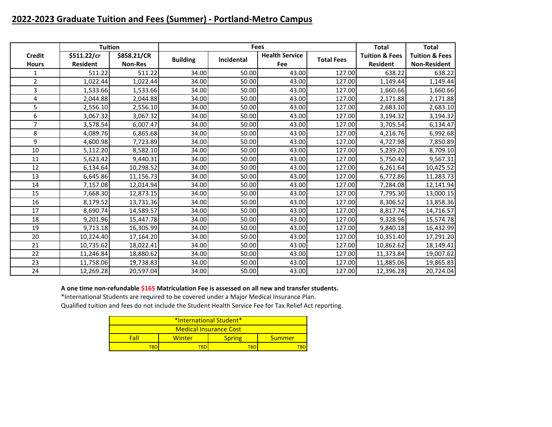# **2022-2023 Graduate Tuition and Fees (Summer) - Portland-Metro Campus**

|                               | <b>Tuition</b>                 |                               |                 | <b>Fees</b> |                              |                   | <b>Total</b>                                 | <b>Total</b>                                     |
|-------------------------------|--------------------------------|-------------------------------|-----------------|-------------|------------------------------|-------------------|----------------------------------------------|--------------------------------------------------|
| <b>Credit</b><br><b>Hours</b> | \$511.22/cr<br><b>Resident</b> | \$858.21/CR<br><b>Non-Res</b> | <b>Building</b> | Incidental  | <b>Health Service</b><br>Fee | <b>Total Fees</b> | <b>Tuition &amp; Fees</b><br><b>Resident</b> | <b>Tuition &amp; Fees</b><br><b>Non-Resident</b> |
| 1                             | 511.22                         | 511.22                        | 34.00           | 50.00       | 43.00                        | 127.00            | 638.22                                       | 638.22                                           |
| $\overline{2}$                | 1,022.44                       | 1,022.44                      | 34.00           | 50.00       | 43.00                        | 127.00            | 1,149.44                                     | 1,149.44                                         |
| 3                             | 1,533.66                       | 1,533.66                      | 34.00           | 50.00       | 43.00                        | 127.00            | 1,660.66                                     | 1,660.66                                         |
| 4                             | 2,044.88                       | 2,044.88                      | 34.00           | 50.00       | 43.00                        | 127.00            | 2,171.88                                     | 2,171.88                                         |
| 5                             | 2,556.10                       | 2,556.10                      | 34.00           | 50.00       | 43.00                        | 127.00            | 2,683.10                                     | 2,683.10                                         |
| 6                             | 3,067.32                       | 3,067.32                      | 34.00           | 50.00       | 43.00                        | 127.00            | 3,194.32                                     | 3,194.32                                         |
| $\overline{7}$                | 3,578.54                       | 6,007.47                      | 34.00           | 50.00       | 43.00                        | 127.00            | 3,705.54                                     | 6,134.47                                         |
| 8                             | 4,089.76                       | 6,865.68                      | 34.00           | 50.00       | 43.00                        | 127.00            | 4,216.76                                     | 6,992.68                                         |
| 9                             | 4,600.98                       | 7,723.89                      | 34.00           | 50.00       | 43.00                        | 127.00            | 4,727.98                                     | 7,850.89                                         |
| 10                            | 5,112.20                       | 8,582.10                      | 34.00           | 50.00       | 43.00                        | 127.00            | 5,239.20                                     | 8,709.10                                         |
| 11                            | 5,623.42                       | 9,440.31                      | 34.00           | 50.00       | 43.00                        | 127.00            | 5,750.42                                     | 9,567.31                                         |
| 12                            | 6,134.64                       | 10,298.52                     | 34.00           | 50.00       | 43.00                        | 127.00            | 6,261.64                                     | 10,425.52                                        |
| 13                            | 6,645.86                       | 11,156.73                     | 34.00           | 50.00       | 43.00                        | 127.00            | 6,772.86                                     | 11,283.73                                        |
| 14                            | 7,157.08                       | 12,014.94                     | 34.00           | 50.00       | 43.00                        | 127.00            | 7,284.08                                     | 12,141.94                                        |
| 15                            | 7,668.30                       | 12,873.15                     | 34.00           | 50.00       | 43.00                        | 127.00            | 7,795.30                                     | 13,000.15                                        |
| 16                            | 8,179.52                       | 13,731.36                     | 34.00           | 50.00       | 43.00                        | 127.00            | 8,306.52                                     | 13,858.36                                        |
| 17                            | 8,690.74                       | 14,589.57                     | 34.00           | 50.00       | 43.00                        | 127.00            | 8,817.74                                     | 14,716.57                                        |
| 18                            | 9,201.96                       | 15,447.78                     | 34.00           | 50.00       | 43.00                        | 127.00            | 9,328.96                                     | 15,574.78                                        |
| 19                            | 9,713.18                       | 16,305.99                     | 34.00           | 50.00       | 43.00                        | 127.00            | 9,840.18                                     | 16,432.99                                        |
| 20                            | 10,224.40                      | 17,164.20                     | 34.00           | 50.00       | 43.00                        | 127.00            | 10,351.40                                    | 17,291.20                                        |
| 21                            | 10,735.62                      | 18,022.41                     | 34.00           | 50.00       | 43.00                        | 127.00            | 10,862.62                                    | 18,149.41                                        |
| 22                            | 11,246.84                      | 18,880.62                     | 34.00           | 50.00       | 43.00                        | 127.00            | 11,373.84                                    | 19,007.62                                        |
| 23                            | 11,758.06                      | 19,738.83                     | 34.00           | 50.00       | 43.00                        | 127.00            | 11,885.06                                    | 19,865.83                                        |
| 24                            | 12,269.28                      | 20,597.04                     | 34.00           | 50.00       | 43.00                        | 127.00            | 12,396.28                                    | 20,724.04                                        |

**A one time non-refundable \$165 Matriculation Fee is assessed on all new and transfer students.**

\*International Students are required to be covered under a Major Medical Insurance Plan.

| <b>*International Student*</b> |        |               |        |  |  |  |  |  |
|--------------------------------|--------|---------------|--------|--|--|--|--|--|
| <b>Medical Insurance Cost</b>  |        |               |        |  |  |  |  |  |
| Fall                           | Winter | <b>Spring</b> | Summer |  |  |  |  |  |
|                                | FRD    |               |        |  |  |  |  |  |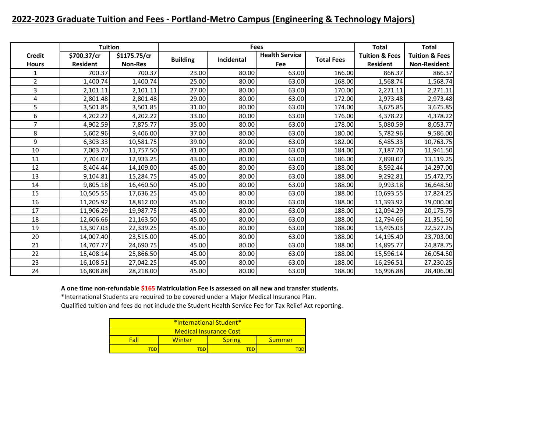# **2022-2023 Graduate Tuition and Fees - Portland-Metro Campus (Engineering & Technology Majors)**

|                               | <b>Tuition</b>                 |                                |                 |            | <b>Fees</b>                  |                   | <b>Total</b>                                 | <b>Total</b>                                     |
|-------------------------------|--------------------------------|--------------------------------|-----------------|------------|------------------------------|-------------------|----------------------------------------------|--------------------------------------------------|
| <b>Credit</b><br><b>Hours</b> | \$700.37/cr<br><b>Resident</b> | \$1175.75/cr<br><b>Non-Res</b> | <b>Building</b> | Incidental | <b>Health Service</b><br>Fee | <b>Total Fees</b> | <b>Tuition &amp; Fees</b><br><b>Resident</b> | <b>Tuition &amp; Fees</b><br><b>Non-Resident</b> |
| 1                             | 700.37                         | 700.37                         | 23.00           | 80.00      | 63.00                        | 166.00            | 866.37                                       | 866.37                                           |
| $\overline{2}$                | 1,400.74                       | 1,400.74                       | 25.00           | 80.00      | 63.00                        | 168.00            | 1,568.74                                     | 1,568.74                                         |
| 3                             | 2,101.11                       | 2,101.11                       | 27.00           | 80.00      | 63.00                        | 170.00            | 2,271.11                                     | 2,271.11                                         |
| 4                             | 2,801.48                       | 2,801.48                       | 29.00           | 80.00      | 63.00                        | 172.00            | 2,973.48                                     | 2,973.48                                         |
| 5                             | 3,501.85                       | 3,501.85                       | 31.00           | 80.00      | 63.00                        | 174.00            | 3,675.85                                     | 3,675.85                                         |
| 6                             | 4,202.22                       | 4,202.22                       | 33.00           | 80.00      | 63.00                        | 176.00            | 4,378.22                                     | 4,378.22                                         |
| $\overline{7}$                | 4,902.59                       | 7,875.77                       | 35.00           | 80.00      | 63.00                        | 178.00            | 5,080.59                                     | 8,053.77                                         |
| 8                             | 5,602.96                       | 9,406.00                       | 37.00           | 80.00      | 63.00                        | 180.00            | 5,782.96                                     | 9,586.00                                         |
| 9                             | 6,303.33                       | 10,581.75                      | 39.00           | 80.00      | 63.00                        | 182.00            | 6,485.33                                     | 10,763.75                                        |
| 10                            | 7,003.70                       | 11,757.50                      | 41.00           | 80.00      | 63.00                        | 184.00            | 7,187.70                                     | 11,941.50                                        |
| 11                            | 7,704.07                       | 12,933.25                      | 43.00           | 80.00      | 63.00                        | 186.00            | 7,890.07                                     | 13,119.25                                        |
| 12                            | 8,404.44                       | 14,109.00                      | 45.00           | 80.00      | 63.00                        | 188.00            | 8,592.44                                     | 14,297.00                                        |
| 13                            | 9,104.81                       | 15,284.75                      | 45.00           | 80.00      | 63.00                        | 188.00            | 9,292.81                                     | 15,472.75                                        |
| 14                            | 9,805.18                       | 16,460.50                      | 45.00           | 80.00      | 63.00                        | 188.00            | 9,993.18                                     | 16,648.50                                        |
| 15                            | 10,505.55                      | 17,636.25                      | 45.00           | 80.00      | 63.00                        | 188.00            | 10,693.55                                    | 17,824.25                                        |
| 16                            | 11,205.92                      | 18,812.00                      | 45.00           | 80.00      | 63.00                        | 188.00            | 11,393.92                                    | 19,000.00                                        |
| 17                            | 11,906.29                      | 19,987.75                      | 45.00           | 80.00      | 63.00                        | 188.00            | 12,094.29                                    | 20,175.75                                        |
| 18                            | 12,606.66                      | 21,163.50                      | 45.00           | 80.00      | 63.00                        | 188.00            | 12,794.66                                    | 21,351.50                                        |
| 19                            | 13,307.03                      | 22,339.25                      | 45.00           | 80.00      | 63.00                        | 188.00            | 13,495.03                                    | 22,527.25                                        |
| 20                            | 14,007.40                      | 23,515.00                      | 45.00           | 80.00      | 63.00                        | 188.00            | 14,195.40                                    | 23,703.00                                        |
| 21                            | 14,707.77                      | 24,690.75                      | 45.00           | 80.00      | 63.00                        | 188.00            | 14,895.77                                    | 24,878.75                                        |
| 22                            | 15,408.14                      | 25,866.50                      | 45.00           | 80.00      | 63.00                        | 188.00            | 15,596.14                                    | 26,054.50                                        |
| 23                            | 16,108.51                      | 27,042.25                      | 45.00           | 80.00      | 63.00                        | 188.00            | 16,296.51                                    | 27,230.25                                        |
| 24                            | 16,808.88                      | 28,218.00                      | 45.00           | 80.00      | 63.00                        | 188.00            | 16,996.88                                    | 28,406.00                                        |

**A one time non-refundable \$165 Matriculation Fee is assessed on all new and transfer students.**

\*International Students are required to be covered under a Major Medical Insurance Plan.

| *International Student*       |        |               |        |  |  |  |  |  |
|-------------------------------|--------|---------------|--------|--|--|--|--|--|
| <b>Medical Insurance Cost</b> |        |               |        |  |  |  |  |  |
| Fall                          | Winter | <b>Spring</b> | Summer |  |  |  |  |  |
| твг                           | FBD    |               |        |  |  |  |  |  |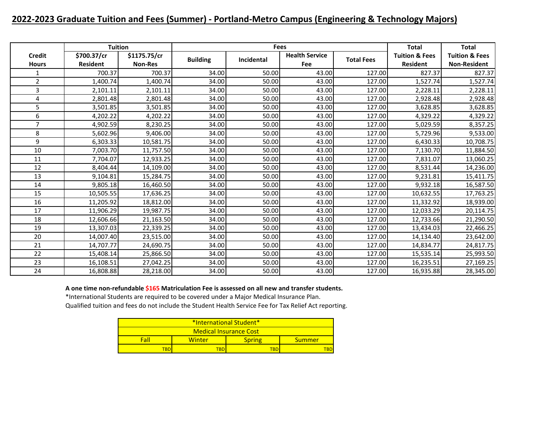# **2022-2023 Graduate Tuition and Fees (Summer) - Portland-Metro Campus (Engineering & Technology Majors)**

|                               | <b>Tuition</b>                 |                                |                 | <b>Fees</b> |                              |                   | <b>Total</b>                                 | <b>Total</b>                                     |
|-------------------------------|--------------------------------|--------------------------------|-----------------|-------------|------------------------------|-------------------|----------------------------------------------|--------------------------------------------------|
| <b>Credit</b><br><b>Hours</b> | \$700.37/cr<br><b>Resident</b> | \$1175.75/cr<br><b>Non-Res</b> | <b>Building</b> | Incidental  | <b>Health Service</b><br>Fee | <b>Total Fees</b> | <b>Tuition &amp; Fees</b><br><b>Resident</b> | <b>Tuition &amp; Fees</b><br><b>Non-Resident</b> |
| 1                             | 700.37                         | 700.37                         | 34.00           | 50.00       | 43.00                        | 127.00            | 827.37                                       | 827.37                                           |
| $\overline{2}$                | 1,400.74                       | 1,400.74                       | 34.00           | 50.00       | 43.00                        | 127.00            | 1,527.74                                     | 1,527.74                                         |
| 3                             | 2,101.11                       | 2,101.11                       | 34.00           | 50.00       | 43.00                        | 127.00            | 2,228.11                                     | 2,228.11                                         |
| 4                             | 2,801.48                       | 2,801.48                       | 34.00           | 50.00       | 43.00                        | 127.00            | 2,928.48                                     | 2,928.48                                         |
| 5                             | 3,501.85                       | 3,501.85                       | 34.00           | 50.00       | 43.00                        | 127.00            | 3,628.85                                     | 3,628.85                                         |
| 6                             | 4,202.22                       | 4,202.22                       | 34.00           | 50.00       | 43.00                        | 127.00            | 4,329.22                                     | 4,329.22                                         |
| $\overline{7}$                | 4,902.59                       | 8,230.25                       | 34.00           | 50.00       | 43.00                        | 127.00            | 5,029.59                                     | 8,357.25                                         |
| 8                             | 5,602.96                       | 9,406.00                       | 34.00           | 50.00       | 43.00                        | 127.00            | 5,729.96                                     | 9,533.00                                         |
| 9                             | 6,303.33                       | 10,581.75                      | 34.00           | 50.00       | 43.00                        | 127.00            | 6,430.33                                     | 10,708.75                                        |
| 10                            | 7,003.70                       | 11,757.50                      | 34.00           | 50.00       | 43.00                        | 127.00            | 7,130.70                                     | 11,884.50                                        |
| 11                            | 7,704.07                       | 12,933.25                      | 34.00           | 50.00       | 43.00                        | 127.00            | 7,831.07                                     | 13,060.25                                        |
| 12                            | 8,404.44                       | 14,109.00                      | 34.00           | 50.00       | 43.00                        | 127.00            | 8,531.44                                     | 14,236.00                                        |
| 13                            | 9,104.81                       | 15,284.75                      | 34.00           | 50.00       | 43.00                        | 127.00            | 9,231.81                                     | 15,411.75                                        |
| 14                            | 9,805.18                       | 16,460.50                      | 34.00           | 50.00       | 43.00                        | 127.00            | 9,932.18                                     | 16,587.50                                        |
| 15                            | 10,505.55                      | 17,636.25                      | 34.00           | 50.00       | 43.00                        | 127.00            | 10,632.55                                    | 17,763.25                                        |
| 16                            | 11,205.92                      | 18,812.00                      | 34.00           | 50.00       | 43.00                        | 127.00            | 11,332.92                                    | 18,939.00                                        |
| 17                            | 11,906.29                      | 19,987.75                      | 34.00           | 50.00       | 43.00                        | 127.00            | 12,033.29                                    | 20,114.75                                        |
| 18                            | 12,606.66                      | 21,163.50                      | 34.00           | 50.00       | 43.00                        | 127.00            | 12,733.66                                    | 21,290.50                                        |
| 19                            | 13,307.03                      | 22,339.25                      | 34.00           | 50.00       | 43.00                        | 127.00            | 13,434.03                                    | 22,466.25                                        |
| 20                            | 14,007.40                      | 23,515.00                      | 34.00           | 50.00       | 43.00                        | 127.00            | 14,134.40                                    | 23,642.00                                        |
| 21                            | 14,707.77                      | 24,690.75                      | 34.00           | 50.00       | 43.00                        | 127.00            | 14,834.77                                    | 24,817.75                                        |
| 22                            | 15,408.14                      | 25,866.50                      | 34.00           | 50.00       | 43.00                        | 127.00            | 15,535.14                                    | 25,993.50                                        |
| 23                            | 16,108.51                      | 27,042.25                      | 34.00           | 50.00       | 43.00                        | 127.00            | 16,235.51                                    | 27,169.25                                        |
| 24                            | 16,808.88                      | 28,218.00                      | 34.00           | 50.00       | 43.00                        | 127.00            | 16,935.88                                    | 28,345.00                                        |

**A one time non-refundable \$165 Matriculation Fee is assessed on all new and transfer students.**

\*International Students are required to be covered under a Major Medical Insurance Plan.

| *International Student* |                        |               |        |  |  |  |  |  |
|-------------------------|------------------------|---------------|--------|--|--|--|--|--|
|                         | Medical Insurance Cost |               |        |  |  |  |  |  |
| Fall                    | Winter                 | <b>Spring</b> | Summer |  |  |  |  |  |
|                         |                        | TBD           |        |  |  |  |  |  |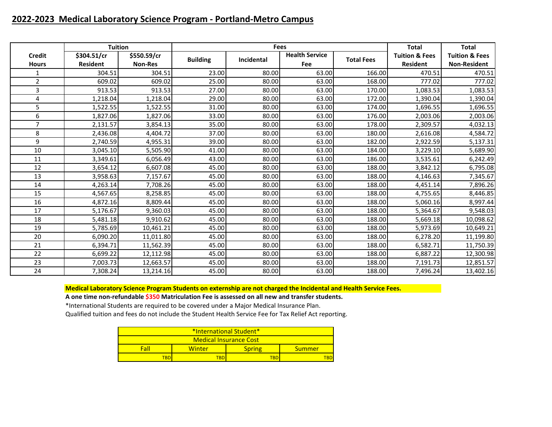## **2022-2023 Medical Laboratory Science Program - Portland-Metro Campus**

|                               | <b>Tuition</b>                 |                               |                 | <b>Fees</b> |                                     |                   | <b>Total</b>                                 | <b>Total</b>                                     |
|-------------------------------|--------------------------------|-------------------------------|-----------------|-------------|-------------------------------------|-------------------|----------------------------------------------|--------------------------------------------------|
| <b>Credit</b><br><b>Hours</b> | \$304.51/cr<br><b>Resident</b> | \$550.59/cr<br><b>Non-Res</b> | <b>Building</b> | Incidental  | <b>Health Service</b><br><b>Fee</b> | <b>Total Fees</b> | <b>Tuition &amp; Fees</b><br><b>Resident</b> | <b>Tuition &amp; Fees</b><br><b>Non-Resident</b> |
| $\mathbf{1}$                  | 304.51                         | 304.51                        | 23.00           | 80.00       | 63.00                               | 166.00            | 470.51                                       | 470.51                                           |
| $\overline{2}$                | 609.02                         | 609.02                        | 25.00           | 80.00       | 63.00                               | 168.00            | 777.02                                       | 777.02                                           |
| 3                             | 913.53                         | 913.53                        | 27.00           | 80.00       | 63.00                               | 170.00            | 1,083.53                                     | 1,083.53                                         |
| 4                             | 1,218.04                       | 1,218.04                      | 29.00           | 80.00       | 63.00                               | 172.00            | 1,390.04                                     | 1,390.04                                         |
| 5                             | 1,522.55                       | 1,522.55                      | 31.00           | 80.00       | 63.00                               | 174.00            | 1,696.55                                     | 1,696.55                                         |
| 6                             | 1,827.06                       | 1,827.06                      | 33.00           | 80.00       | 63.00                               | 176.00            | 2,003.06                                     | 2,003.06                                         |
| 7                             | 2,131.57                       | 3,854.13                      | 35.00           | 80.00       | 63.00                               | 178.00            | 2,309.57                                     | 4,032.13                                         |
| 8                             | 2,436.08                       | 4,404.72                      | 37.00           | 80.00       | 63.00                               | 180.00            | 2,616.08                                     | 4,584.72                                         |
| 9                             | 2,740.59                       | 4,955.31                      | 39.00           | 80.00       | 63.00                               | 182.00            | 2,922.59                                     | 5,137.31                                         |
| 10                            | 3,045.10                       | 5,505.90                      | 41.00           | 80.00       | 63.00                               | 184.00            | 3,229.10                                     | 5,689.90                                         |
| 11                            | 3,349.61                       | 6,056.49                      | 43.00           | 80.00       | 63.00                               | 186.00            | 3,535.61                                     | 6,242.49                                         |
| 12                            | 3,654.12                       | 6,607.08                      | 45.00           | 80.00       | 63.00                               | 188.00            | 3,842.12                                     | 6,795.08                                         |
| 13                            | 3,958.63                       | 7,157.67                      | 45.00           | 80.00       | 63.00                               | 188.00            | 4,146.63                                     | 7,345.67                                         |
| 14                            | 4,263.14                       | 7,708.26                      | 45.00           | 80.00       | 63.00                               | 188.00            | 4,451.14                                     | 7,896.26                                         |
| 15                            | 4,567.65                       | 8,258.85                      | 45.00           | 80.00       | 63.00                               | 188.00            | 4,755.65                                     | 8,446.85                                         |
| 16                            | 4,872.16                       | 8,809.44                      | 45.00           | 80.00       | 63.00                               | 188.00            | 5,060.16                                     | 8,997.44                                         |
| 17                            | 5,176.67                       | 9,360.03                      | 45.00           | 80.00       | 63.00                               | 188.00            | 5,364.67                                     | 9,548.03                                         |
| 18                            | 5,481.18                       | 9,910.62                      | 45.00           | 80.00       | 63.00                               | 188.00            | 5,669.18                                     | 10,098.62                                        |
| 19                            | 5,785.69                       | 10,461.21                     | 45.00           | 80.00       | 63.00                               | 188.00            | 5,973.69                                     | 10,649.21                                        |
| 20                            | 6,090.20                       | 11,011.80                     | 45.00           | 80.00       | 63.00                               | 188.00            | 6,278.20                                     | 11,199.80                                        |
| 21                            | 6,394.71                       | 11,562.39                     | 45.00           | 80.00       | 63.00                               | 188.00            | 6,582.71                                     | 11,750.39                                        |
| 22                            | 6,699.22                       | 12,112.98                     | 45.00           | 80.00       | 63.00                               | 188.00            | 6,887.22                                     | 12,300.98                                        |
| 23                            | 7,003.73                       | 12,663.57                     | 45.00           | 80.00       | 63.00                               | 188.00            | 7,191.73                                     | 12,851.57                                        |
| 24                            | 7,308.24                       | 13,214.16                     | 45.00           | 80.00       | 63.00                               | 188.00            | 7,496.24                                     | 13,402.16                                        |

**Medical Laboratory Science Program Students on externship are not charged the Incidental and Health Service Fees.**

**A one time non-refundable \$350 Matriculation Fee is assessed on all new and transfer students.**

\*International Students are required to be covered under a Major Medical Insurance Plan.

| *International Student*       |        |               |        |  |  |  |  |
|-------------------------------|--------|---------------|--------|--|--|--|--|
| <b>Medical Insurance Cost</b> |        |               |        |  |  |  |  |
| Fall                          | Winter | <b>Spring</b> | Summer |  |  |  |  |
|                               | TBD    | TBD           | TRD    |  |  |  |  |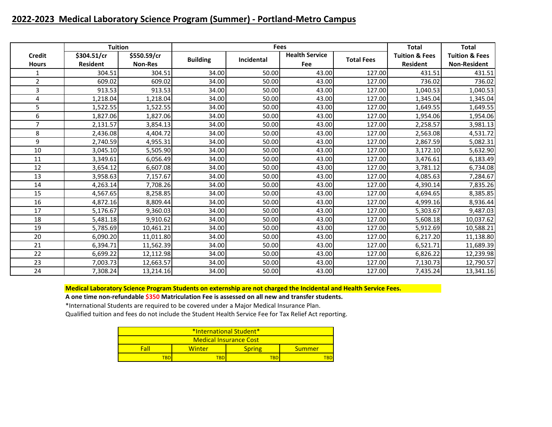## **2022-2023 Medical Laboratory Science Program (Summer) - Portland-Metro Campus**

|                               | <b>Tuition</b>                 |                               |                 | <b>Fees</b> |                                     |                   | <b>Total</b>                                 | <b>Total</b>                                     |
|-------------------------------|--------------------------------|-------------------------------|-----------------|-------------|-------------------------------------|-------------------|----------------------------------------------|--------------------------------------------------|
| <b>Credit</b><br><b>Hours</b> | \$304.51/cr<br><b>Resident</b> | \$550.59/cr<br><b>Non-Res</b> | <b>Building</b> | Incidental  | <b>Health Service</b><br><b>Fee</b> | <b>Total Fees</b> | <b>Tuition &amp; Fees</b><br><b>Resident</b> | <b>Tuition &amp; Fees</b><br><b>Non-Resident</b> |
| 1                             | 304.51                         | 304.51                        | 34.00           | 50.00       | 43.00                               | 127.00            | 431.51                                       | 431.51                                           |
| $\overline{2}$                | 609.02                         | 609.02                        | 34.00           | 50.00       | 43.00                               | 127.00            | 736.02                                       | 736.02                                           |
| 3                             | 913.53                         | 913.53                        | 34.00           | 50.00       | 43.00                               | 127.00            | 1,040.53                                     | 1,040.53                                         |
| 4                             | 1,218.04                       | 1,218.04                      | 34.00           | 50.00       | 43.00                               | 127.00            | 1,345.04                                     | 1,345.04                                         |
| 5                             | 1,522.55                       | 1,522.55                      | 34.00           | 50.00       | 43.00                               | 127.00            | 1,649.55                                     | 1,649.55                                         |
| 6                             | 1,827.06                       | 1,827.06                      | 34.00           | 50.00       | 43.00                               | 127.00            | 1,954.06                                     | 1,954.06                                         |
| $\overline{7}$                | 2,131.57                       | 3,854.13                      | 34.00           | 50.00       | 43.00                               | 127.00            | 2,258.57                                     | 3,981.13                                         |
| 8                             | 2,436.08                       | 4,404.72                      | 34.00           | 50.00       | 43.00                               | 127.00            | 2,563.08                                     | 4,531.72                                         |
| 9                             | 2,740.59                       | 4,955.31                      | 34.00           | 50.00       | 43.00                               | 127.00            | 2,867.59                                     | 5,082.31                                         |
| 10                            | 3,045.10                       | 5,505.90                      | 34.00           | 50.00       | 43.00                               | 127.00            | 3,172.10                                     | 5,632.90                                         |
| 11                            | 3,349.61                       | 6,056.49                      | 34.00           | 50.00       | 43.00                               | 127.00            | 3,476.61                                     | 6,183.49                                         |
| 12                            | 3,654.12                       | 6,607.08                      | 34.00           | 50.00       | 43.00                               | 127.00            | 3,781.12                                     | 6,734.08                                         |
| 13                            | 3,958.63                       | 7,157.67                      | 34.00           | 50.00       | 43.00                               | 127.00            | 4,085.63                                     | 7,284.67                                         |
| 14                            | 4,263.14                       | 7,708.26                      | 34.00           | 50.00       | 43.00                               | 127.00            | 4,390.14                                     | 7,835.26                                         |
| 15                            | 4,567.65                       | 8,258.85                      | 34.00           | 50.00       | 43.00                               | 127.00            | 4,694.65                                     | 8,385.85                                         |
| 16                            | 4,872.16                       | 8,809.44                      | 34.00           | 50.00       | 43.00                               | 127.00            | 4,999.16                                     | 8,936.44                                         |
| 17                            | 5,176.67                       | 9,360.03                      | 34.00           | 50.00       | 43.00                               | 127.00            | 5,303.67                                     | 9,487.03                                         |
| 18                            | 5,481.18                       | 9,910.62                      | 34.00           | 50.00       | 43.00                               | 127.00            | 5,608.18                                     | 10,037.62                                        |
| 19                            | 5,785.69                       | 10,461.21                     | 34.00           | 50.00       | 43.00                               | 127.00            | 5,912.69                                     | 10,588.21                                        |
| 20                            | 6,090.20                       | 11,011.80                     | 34.00           | 50.00       | 43.00                               | 127.00            | 6,217.20                                     | 11,138.80                                        |
| 21                            | 6,394.71                       | 11,562.39                     | 34.00           | 50.00       | 43.00                               | 127.00            | 6,521.71                                     | 11,689.39                                        |
| 22                            | 6,699.22                       | 12,112.98                     | 34.00           | 50.00       | 43.00                               | 127.00            | 6,826.22                                     | 12,239.98                                        |
| 23                            | 7,003.73                       | 12,663.57                     | 34.00           | 50.00       | 43.00                               | 127.00            | 7,130.73                                     | 12,790.57                                        |
| 24                            | 7,308.24                       | 13,214.16                     | 34.00           | 50.00       | 43.00                               | 127.00            | 7,435.24                                     | 13,341.16                                        |

**Medical Laboratory Science Program Students on externship are not charged the Incidental and Health Service Fees.**

**A one time non-refundable \$350 Matriculation Fee is assessed on all new and transfer students.**

\*International Students are required to be covered under a Major Medical Insurance Plan.

| *International Student*       |                                   |  |  |  |  |  |
|-------------------------------|-----------------------------------|--|--|--|--|--|
| <b>Medical Insurance Cost</b> |                                   |  |  |  |  |  |
| Fall                          | <b>Spring</b><br>Winter<br>Summer |  |  |  |  |  |
| TBD<br>TBD<br>TRD             |                                   |  |  |  |  |  |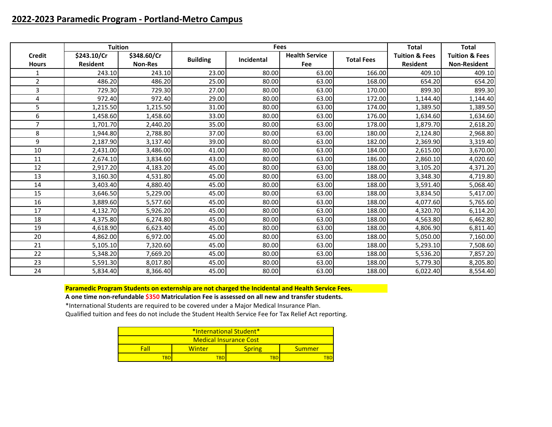## **2022-2023 Paramedic Program - Portland-Metro Campus**

|                               | <b>Tuition</b>                 |                               | Fees            |            |                              | <b>Total</b>      | <b>Total</b>                                 |                                                  |
|-------------------------------|--------------------------------|-------------------------------|-----------------|------------|------------------------------|-------------------|----------------------------------------------|--------------------------------------------------|
| <b>Credit</b><br><b>Hours</b> | \$243.10/Cr<br><b>Resident</b> | \$348.60/Cr<br><b>Non-Res</b> | <b>Building</b> | Incidental | <b>Health Service</b><br>Fee | <b>Total Fees</b> | <b>Tuition &amp; Fees</b><br><b>Resident</b> | <b>Tuition &amp; Fees</b><br><b>Non-Resident</b> |
| 1                             | 243.10                         | 243.10                        | 23.00           | 80.00      | 63.00                        | 166.00            | 409.10                                       | 409.10                                           |
| $\overline{2}$                | 486.20                         | 486.20                        | 25.00           | 80.00      | 63.00                        | 168.00            | 654.20                                       | 654.20                                           |
| 3                             | 729.30                         | 729.30                        | 27.00           | 80.00      | 63.00                        | 170.00            | 899.30                                       | 899.30                                           |
| 4                             | 972.40                         | 972.40                        | 29.00           | 80.00      | 63.00                        | 172.00            | 1,144.40                                     | 1,144.40                                         |
| 5                             | 1,215.50                       | 1,215.50                      | 31.00           | 80.00      | 63.00                        | 174.00            | 1,389.50                                     | 1,389.50                                         |
| 6                             | 1,458.60                       | 1,458.60                      | 33.00           | 80.00      | 63.00                        | 176.00            | 1,634.60                                     | 1,634.60                                         |
| 7                             | 1,701.70                       | 2,440.20                      | 35.00           | 80.00      | 63.00                        | 178.00            | 1,879.70                                     | 2,618.20                                         |
| 8                             | 1,944.80                       | 2,788.80                      | 37.00           | 80.00      | 63.00                        | 180.00            | 2,124.80                                     | 2,968.80                                         |
| 9                             | 2,187.90                       | 3,137.40                      | 39.00           | 80.00      | 63.00                        | 182.00            | 2,369.90                                     | 3,319.40                                         |
| 10                            | 2,431.00                       | 3,486.00                      | 41.00           | 80.00      | 63.00                        | 184.00            | 2,615.00                                     | 3,670.00                                         |
| 11                            | 2,674.10                       | 3,834.60                      | 43.00           | 80.00      | 63.00                        | 186.00            | 2,860.10                                     | 4,020.60                                         |
| 12                            | 2,917.20                       | 4,183.20                      | 45.00           | 80.00      | 63.00                        | 188.00            | 3,105.20                                     | 4,371.20                                         |
| 13                            | 3,160.30                       | 4,531.80                      | 45.00           | 80.00      | 63.00                        | 188.00            | 3,348.30                                     | 4,719.80                                         |
| 14                            | 3,403.40                       | 4,880.40                      | 45.00           | 80.00      | 63.00                        | 188.00            | 3,591.40                                     | 5,068.40                                         |
| 15                            | 3,646.50                       | 5,229.00                      | 45.00           | 80.00      | 63.00                        | 188.00            | 3,834.50                                     | 5,417.00                                         |
| 16                            | 3,889.60                       | 5,577.60                      | 45.00           | 80.00      | 63.00                        | 188.00            | 4,077.60                                     | 5,765.60                                         |
| 17                            | 4,132.70                       | 5,926.20                      | 45.00           | 80.00      | 63.00                        | 188.00            | 4,320.70                                     | 6,114.20                                         |
| 18                            | 4,375.80                       | 6,274.80                      | 45.00           | 80.00      | 63.00                        | 188.00            | 4,563.80                                     | 6,462.80                                         |
| 19                            | 4,618.90                       | 6,623.40                      | 45.00           | 80.00      | 63.00                        | 188.00            | 4,806.90                                     | 6,811.40                                         |
| 20                            | 4,862.00                       | 6,972.00                      | 45.00           | 80.00      | 63.00                        | 188.00            | 5,050.00                                     | 7,160.00                                         |
| 21                            | 5,105.10                       | 7,320.60                      | 45.00           | 80.00      | 63.00                        | 188.00            | 5,293.10                                     | 7,508.60                                         |
| 22                            | 5,348.20                       | 7,669.20                      | 45.00           | 80.00      | 63.00                        | 188.00            | 5,536.20                                     | 7,857.20                                         |
| 23                            | 5,591.30                       | 8,017.80                      | 45.00           | 80.00      | 63.00                        | 188.00            | 5,779.30                                     | 8,205.80                                         |
| 24                            | 5,834.40                       | 8,366.40                      | 45.00           | 80.00      | 63.00                        | 188.00            | 6,022.40                                     | 8,554.40                                         |

**Paramedic Program Students on externship are not charged the Incidental and Health Service Fees.**

**A one time non-refundable \$350 Matriculation Fee is assessed on all new and transfer students.**

\*International Students are required to be covered under a Major Medical Insurance Plan. Qualified tuition and fees do not include the Student Health Service Fee for Tax Relief Act reporting.

| *International Student* |                                          |  |  |  |  |  |
|-------------------------|------------------------------------------|--|--|--|--|--|
| Medical Insurance Cost  |                                          |  |  |  |  |  |
| Fall                    | <b>Spring</b><br>Winter<br><b>Summer</b> |  |  |  |  |  |
| TBD<br>TBD              |                                          |  |  |  |  |  |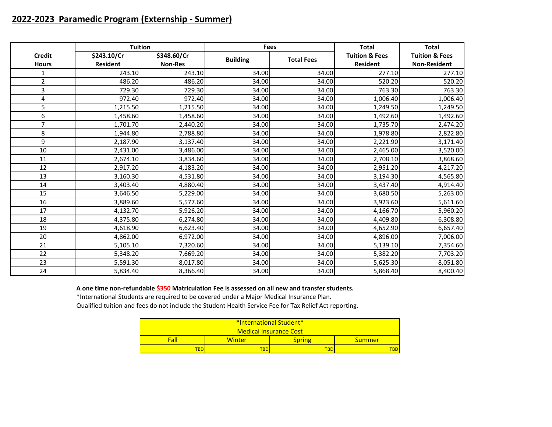# **2022-2023 Paramedic Program (Externship - Summer)**

|                | <b>Tuition</b>  |                |                 | <b>Fees</b>       | <b>Total</b>              | <b>Total</b>              |
|----------------|-----------------|----------------|-----------------|-------------------|---------------------------|---------------------------|
| <b>Credit</b>  | \$243.10/Cr     | \$348.60/Cr    | <b>Building</b> | <b>Total Fees</b> | <b>Tuition &amp; Fees</b> | <b>Tuition &amp; Fees</b> |
| <b>Hours</b>   | <b>Resident</b> | <b>Non-Res</b> |                 |                   | <b>Resident</b>           | <b>Non-Resident</b>       |
| $\mathbf{1}$   | 243.10          | 243.10         | 34.00           | 34.00             | 277.10                    | 277.10                    |
| $\overline{2}$ | 486.20          | 486.20         | 34.00           | 34.00             | 520.20                    | 520.20                    |
| 3              | 729.30          | 729.30         | 34.00           | 34.00             | 763.30                    | 763.30                    |
| 4              | 972.40          | 972.40         | 34.00           | 34.00             | 1,006.40                  | 1,006.40                  |
| 5              | 1,215.50        | 1,215.50       | 34.00           | 34.00             | 1,249.50                  | 1,249.50                  |
| 6              | 1,458.60        | 1,458.60       | 34.00           | 34.00             | 1,492.60                  | 1,492.60                  |
| 7              | 1,701.70        | 2,440.20       | 34.00           | 34.00             | 1,735.70                  | 2,474.20                  |
| 8              | 1,944.80        | 2,788.80       | 34.00           | 34.00             | 1,978.80                  | 2,822.80                  |
| 9              | 2,187.90        | 3,137.40       | 34.00           | 34.00             | 2,221.90                  | 3,171.40                  |
| 10             | 2,431.00        | 3,486.00       | 34.00           | 34.00             | 2,465.00                  | 3,520.00                  |
| 11             | 2,674.10        | 3,834.60       | 34.00           | 34.00             | 2,708.10                  | 3,868.60                  |
| 12             | 2,917.20        | 4,183.20       | 34.00           | 34.00             | 2,951.20                  | 4,217.20                  |
| 13             | 3,160.30        | 4,531.80       | 34.00           | 34.00             | 3,194.30                  | 4,565.80                  |
| 14             | 3,403.40        | 4,880.40       | 34.00           | 34.00             | 3,437.40                  | 4,914.40                  |
| 15             | 3,646.50        | 5,229.00       | 34.00           | 34.00             | 3,680.50                  | 5,263.00                  |
| 16             | 3,889.60        | 5,577.60       | 34.00           | 34.00             | 3,923.60                  | 5,611.60                  |
| 17             | 4,132.70        | 5,926.20       | 34.00           | 34.00             | 4,166.70                  | 5,960.20                  |
| 18             | 4,375.80        | 6,274.80       | 34.00           | 34.00             | 4,409.80                  | 6,308.80                  |
| 19             | 4,618.90        | 6,623.40       | 34.00           | 34.00             | 4,652.90                  | 6,657.40                  |
| 20             | 4,862.00        | 6,972.00       | 34.00           | 34.00             | 4,896.00                  | 7,006.00                  |
| 21             | 5,105.10        | 7,320.60       | 34.00           | 34.00             | 5,139.10                  | 7,354.60                  |
| 22             | 5,348.20        | 7,669.20       | 34.00           | 34.00             | 5,382.20                  | 7,703.20                  |
| 23             | 5,591.30        | 8,017.80       | 34.00           | 34.00             | 5,625.30                  | 8,051.80                  |
| 24             | 5,834.40        | 8,366.40       | 34.00           | 34.00             | 5,868.40                  | 8,400.40                  |

### **A one time non-refundable \$350 Matriculation Fee is assessed on all new and transfer students.**

\*International Students are required to be covered under a Major Medical Insurance Plan.

| *International Student*            |  |  |  |  |  |  |
|------------------------------------|--|--|--|--|--|--|
| <b>Medical Insurance Cost</b>      |  |  |  |  |  |  |
| Fall<br>Winter<br>Spring<br>Summer |  |  |  |  |  |  |
| <b>TBD</b><br>TBD<br>BD-           |  |  |  |  |  |  |